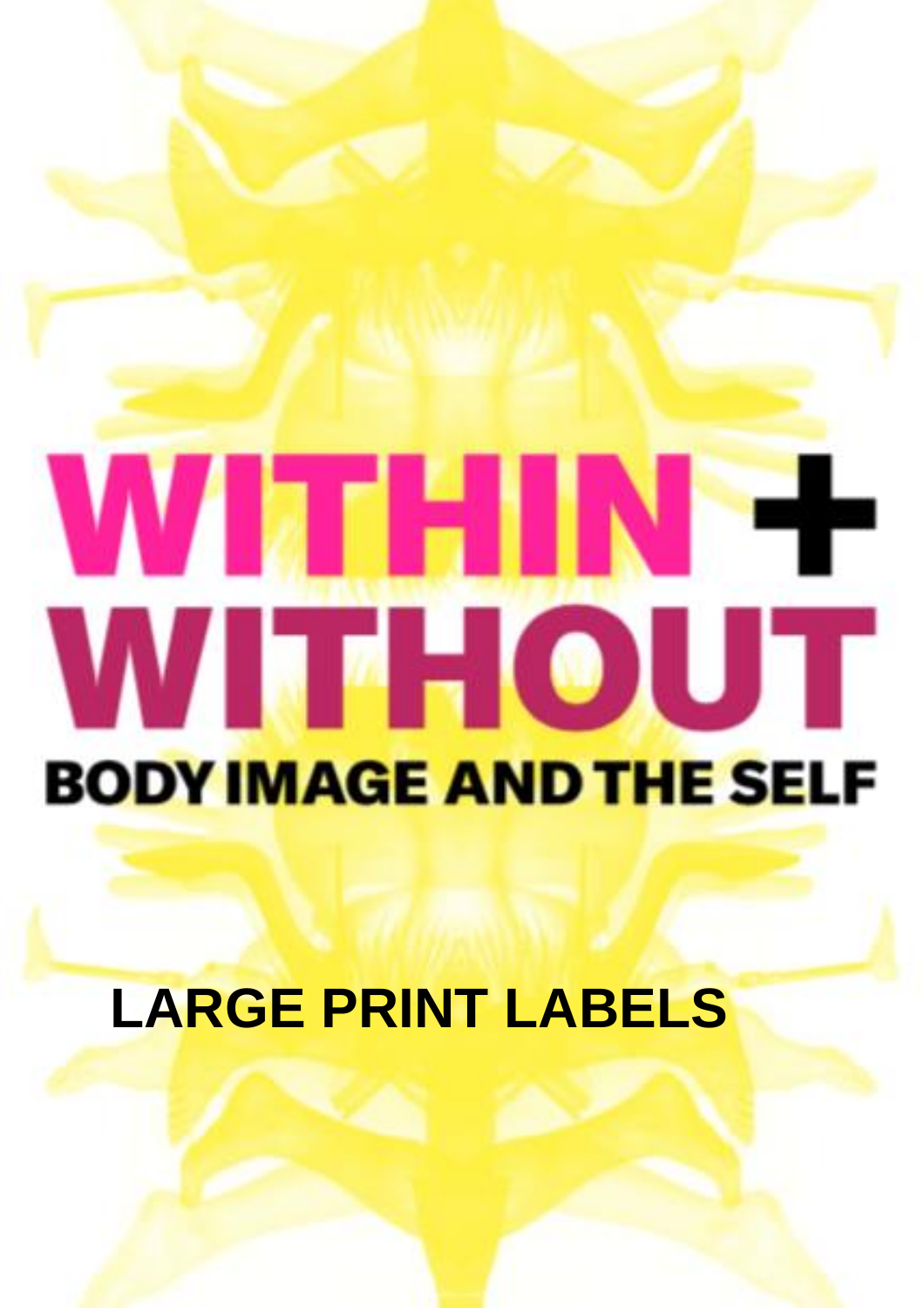# WITHIN-F WITHOUT **BODY IMAGE AND THE SELF**

## **LARGE PRINT LABELS**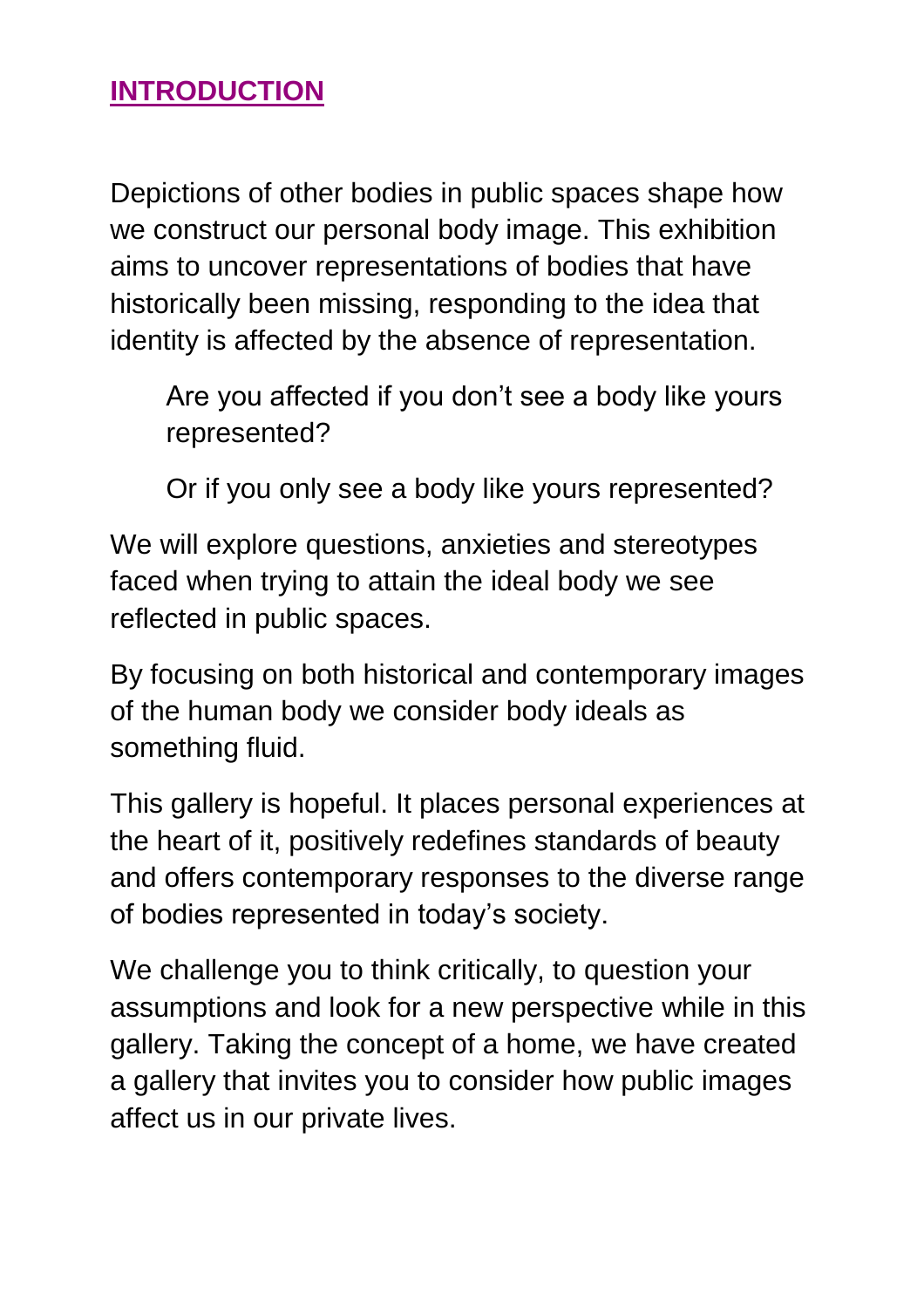#### **INTRODUCTION**

Depictions of other bodies in public spaces shape how we construct our personal body image. This exhibition aims to uncover representations of bodies that have historically been missing, responding to the idea that identity is affected by the absence of representation.

Are you affected if you don't see a body like yours represented?

Or if you only see a body like yours represented?

We will explore questions, anxieties and stereotypes faced when trying to attain the ideal body we see reflected in public spaces.

By focusing on both historical and contemporary images of the human body we consider body ideals as something fluid.

This gallery is hopeful. It places personal experiences at the heart of it, positively redefines standards of beauty and offers contemporary responses to the diverse range of bodies represented in today's society.

We challenge you to think critically, to question your assumptions and look for a new perspective while in this gallery. Taking the concept of a home, we have created a gallery that invites you to consider how public images affect us in our private lives.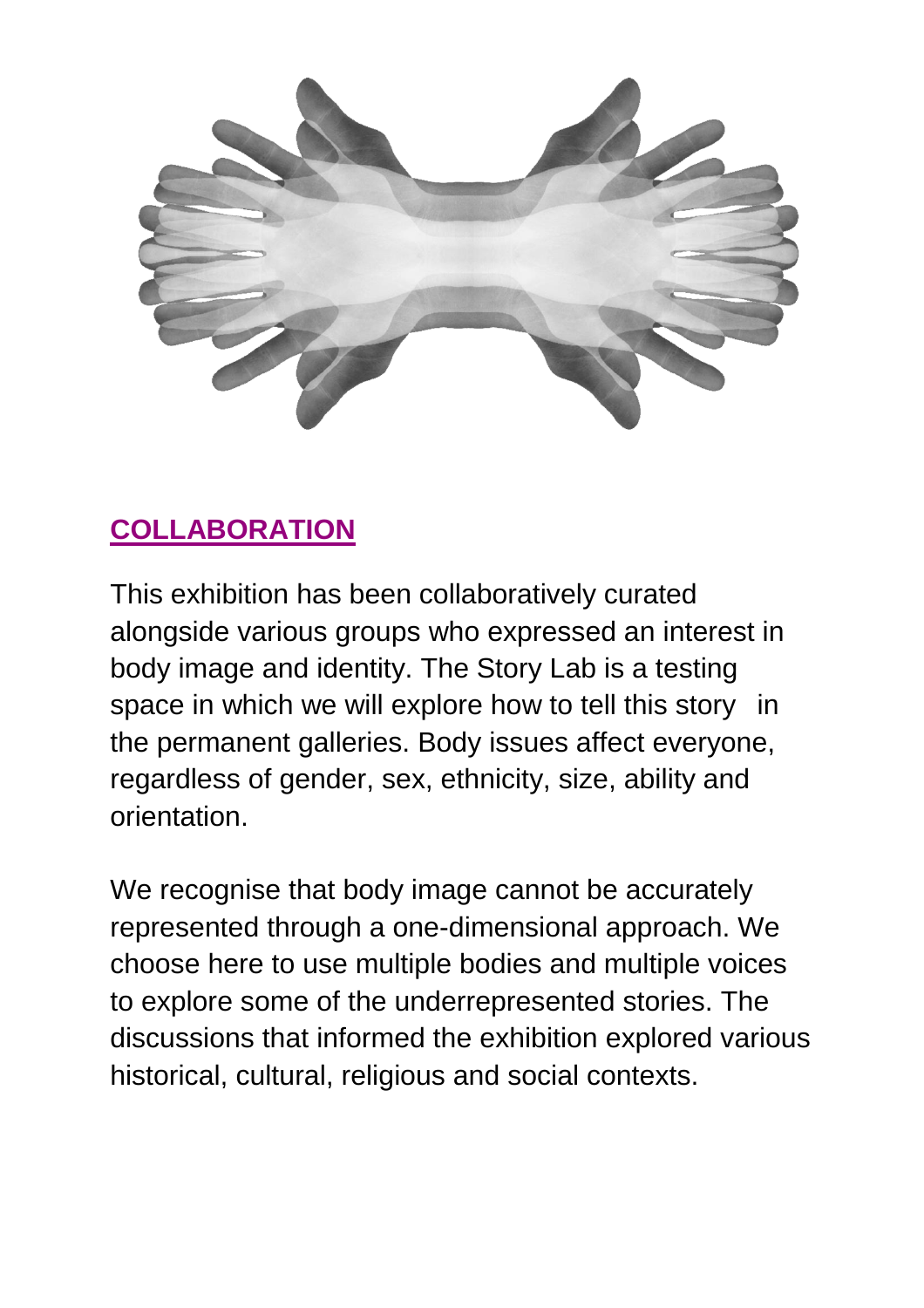

## **COLLABORATION**

This exhibition has been collaboratively curated alongside various groups who expressed an interest in body image and identity. The Story Lab is a testing space in which we will explore how to tell this story in the permanent galleries. Body issues affect everyone, regardless of gender, sex, ethnicity, size, ability and orientation.

We recognise that body image cannot be accurately represented through a one-dimensional approach. We choose here to use multiple bodies and multiple voices to explore some of the underrepresented stories. The discussions that informed the exhibition explored various historical, cultural, religious and social contexts.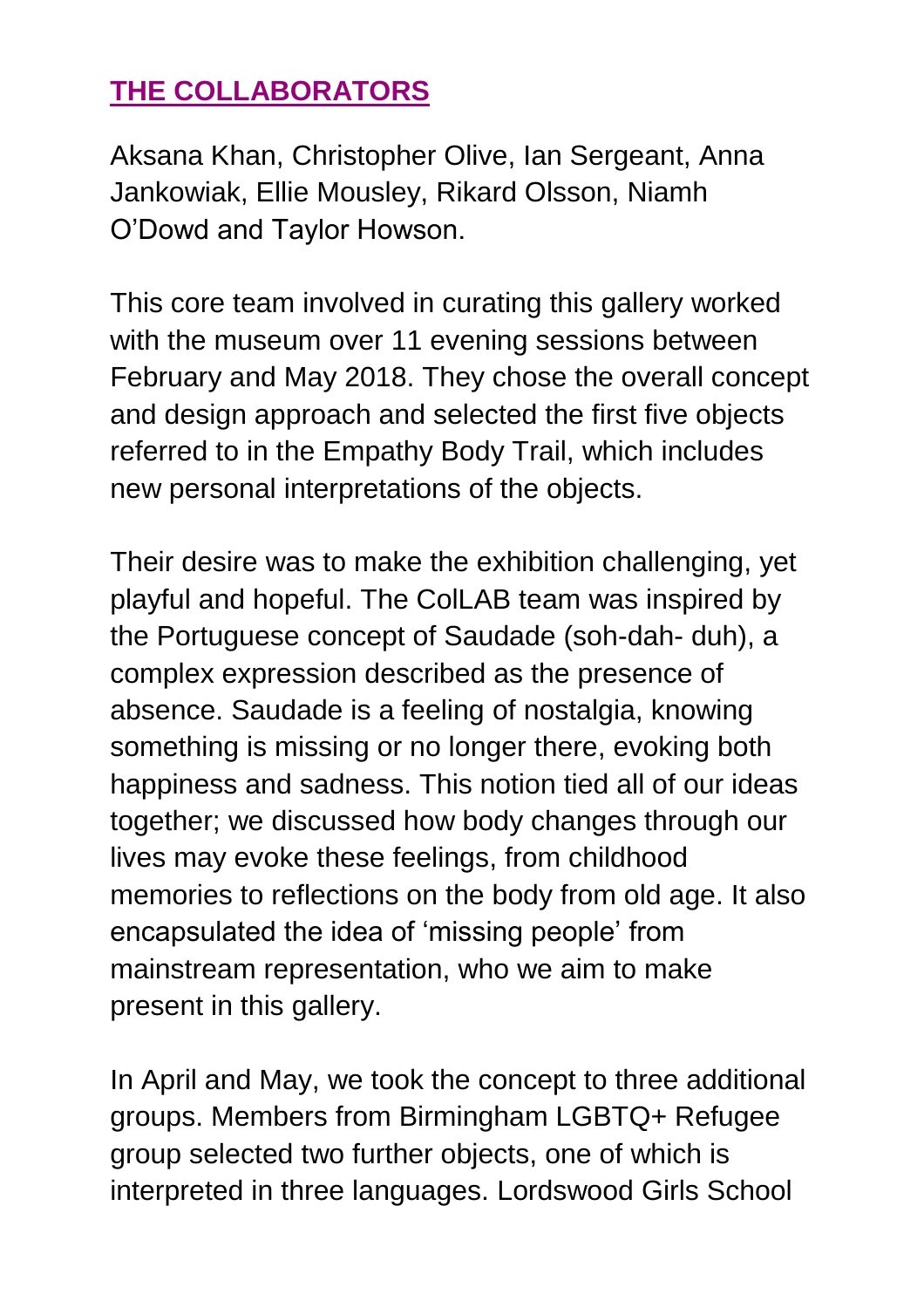## **THE COLLABORATORS**

Aksana Khan, Christopher Olive, Ian Sergeant, Anna Jankowiak, Ellie Mousley, Rikard Olsson, Niamh O'Dowd and Taylor Howson.

This core team involved in curating this gallery worked with the museum over 11 evening sessions between February and May 2018. They chose the overall concept and design approach and selected the first five objects referred to in the Empathy Body Trail, which includes new personal interpretations of the objects.

Their desire was to make the exhibition challenging, yet playful and hopeful. The ColLAB team was inspired by the Portuguese concept of Saudade (soh-dah- duh), a complex expression described as the presence of absence. Saudade is a feeling of nostalgia, knowing something is missing or no longer there, evoking both happiness and sadness. This notion tied all of our ideas together; we discussed how body changes through our lives may evoke these feelings, from childhood memories to reflections on the body from old age. It also encapsulated the idea of 'missing people' from mainstream representation, who we aim to make present in this gallery.

In April and May, we took the concept to three additional groups. Members from Birmingham LGBTQ+ Refugee group selected two further objects, one of which is interpreted in three languages. Lordswood Girls School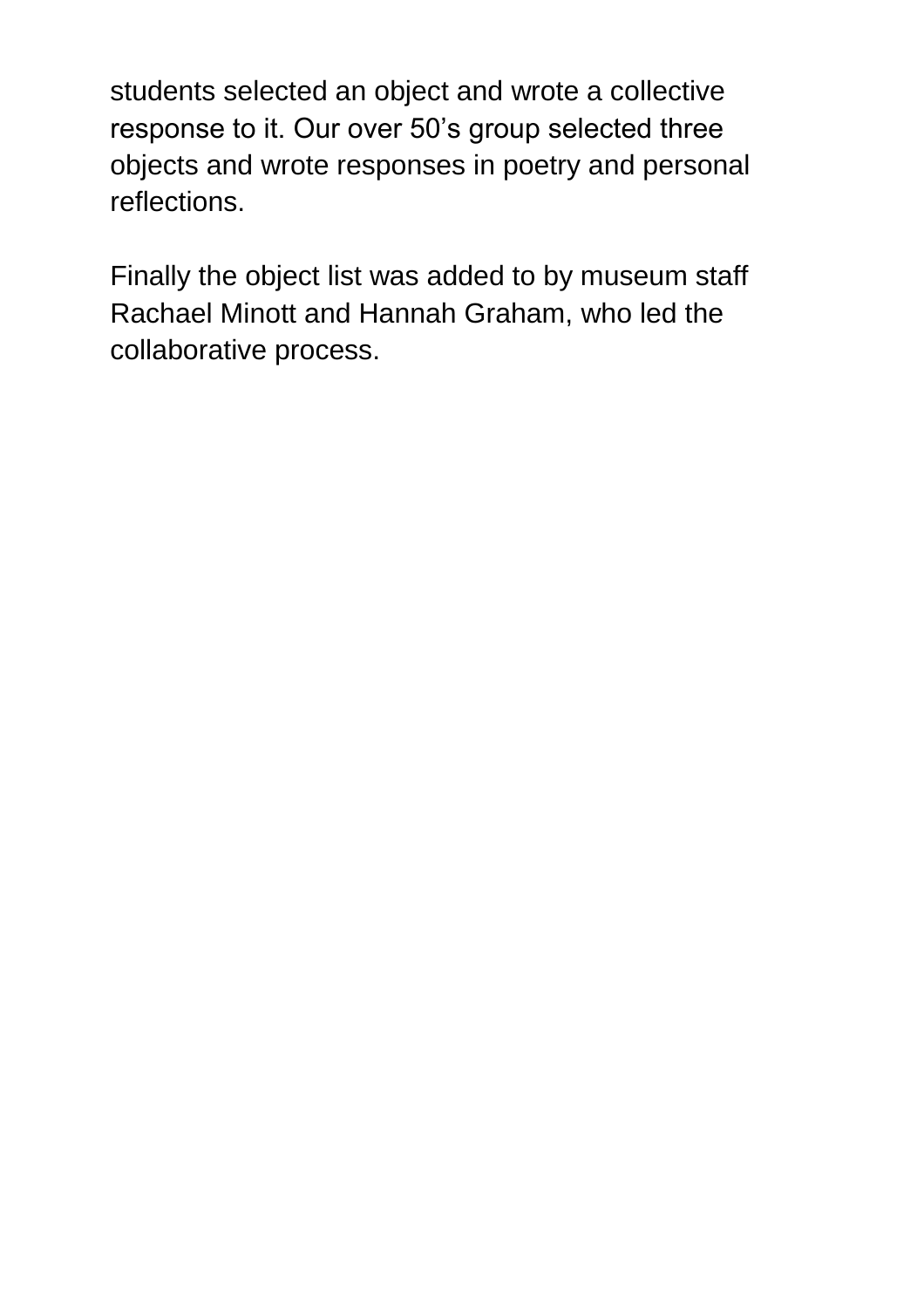students selected an object and wrote a collective response to it. Our over 50's group selected three objects and wrote responses in poetry and personal reflections.

Finally the object list was added to by museum staff Rachael Minott and Hannah Graham, who led the collaborative process.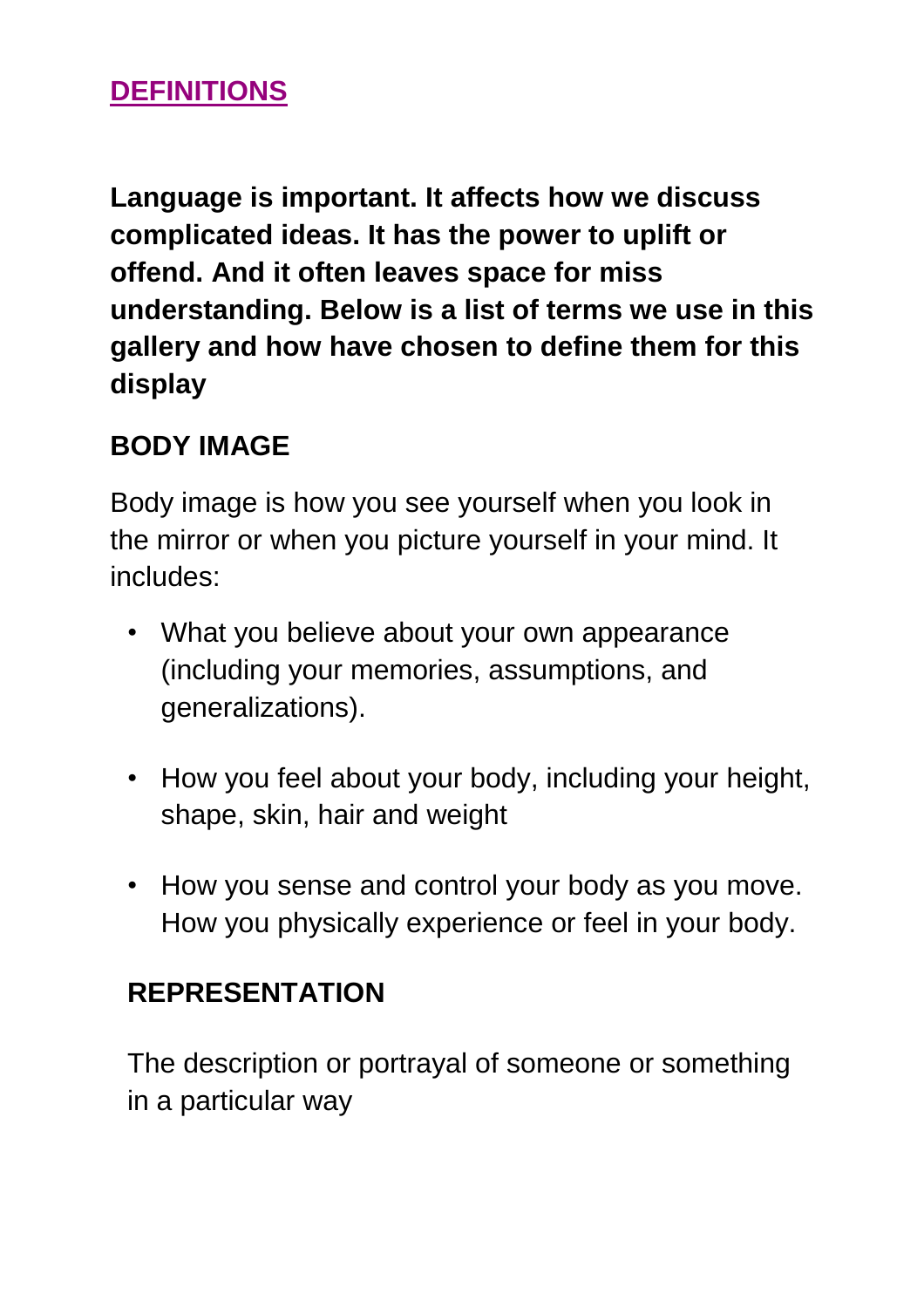### **DEFINITIONS**

**Language is important. It affects how we discuss complicated ideas. It has the power to uplift or offend. And it often leaves space for miss understanding. Below is a list of terms we use in this gallery and how have chosen to define them for this display** 

#### **BODY IMAGE**

Body image is how you see yourself when you look in the mirror or when you picture yourself in your mind. It includes:

- What you believe about your own appearance (including your memories, assumptions, and generalizations).
- How you feel about your body, including your height, shape, skin, hair and weight
- How you sense and control your body as you move. How you physically experience or feel in your body.

#### **REPRESENTATION**

The description or portrayal of someone or something in a particular way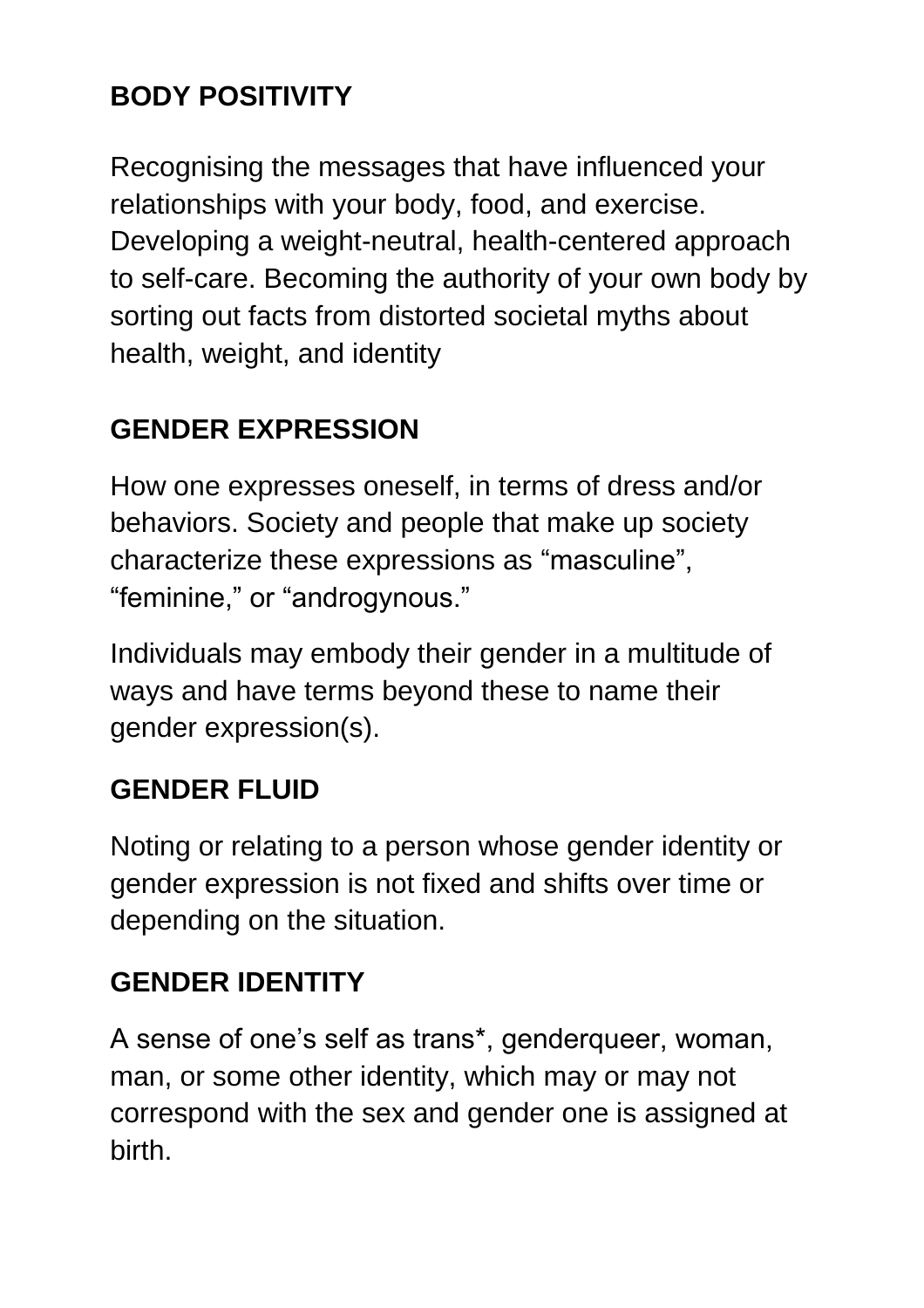## **BODY POSITIVITY**

Recognising the messages that have influenced your relationships with your body, food, and exercise. Developing a weight-neutral, health-centered approach to self-care. Becoming the authority of your own body by sorting out facts from distorted societal myths about health, weight, and identity

## **GENDER EXPRESSION**

How one expresses oneself, in terms of dress and/or behaviors. Society and people that make up society characterize these expressions as "masculine", "feminine," or "androgynous."

Individuals may embody their gender in a multitude of ways and have terms beyond these to name their gender expression(s).

#### **GENDER FLUID**

Noting or relating to a person whose gender identity or gender expression is not fixed and shifts over time or depending on the situation.

## **GENDER IDENTITY**

A sense of one's self as trans\*, genderqueer, woman, man, or some other identity, which may or may not correspond with the sex and gender one is assigned at birth.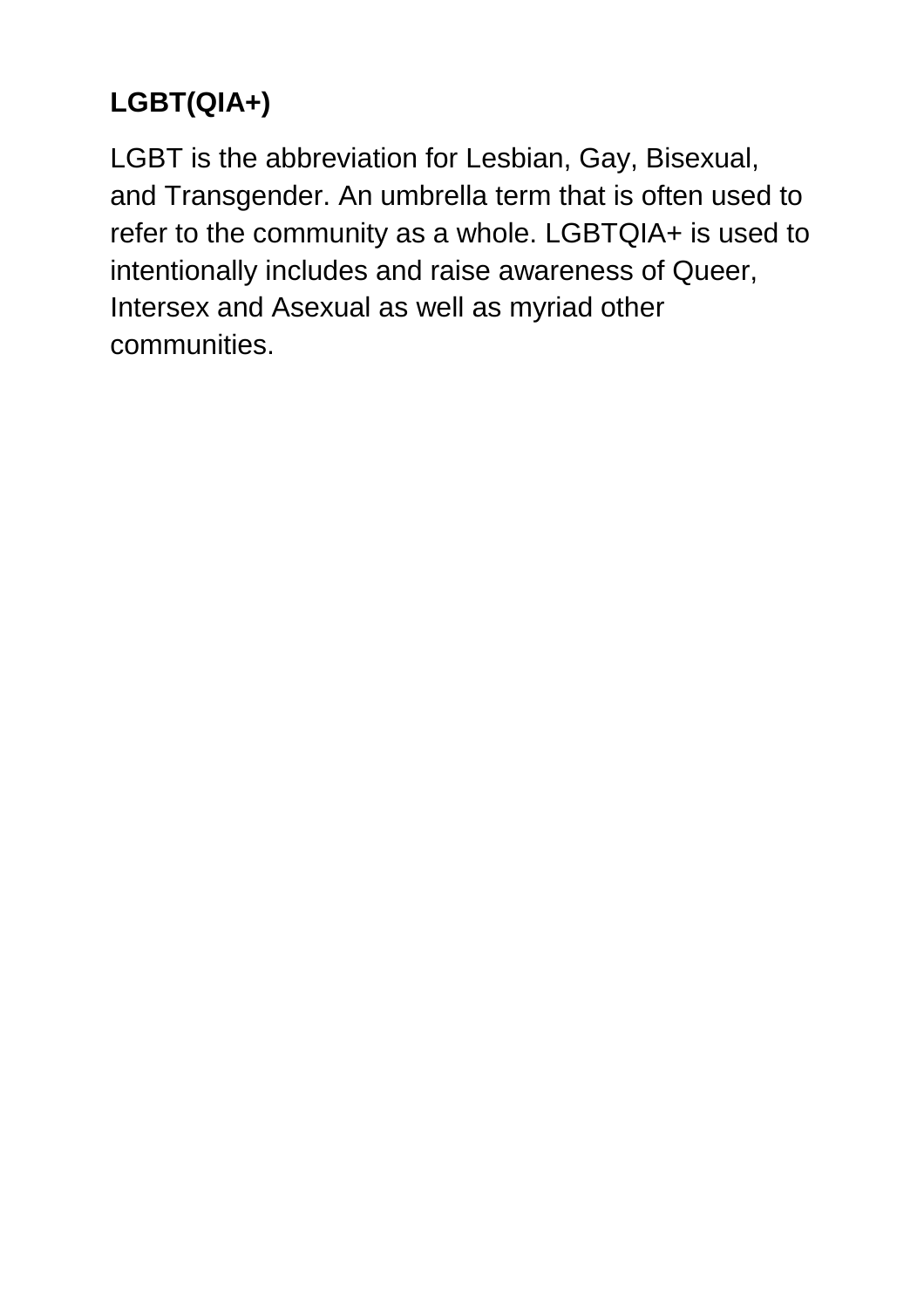## **LGBT(QIA+)**

LGBT is the abbreviation for Lesbian, Gay, Bisexual, and Transgender. An umbrella term that is often used to refer to the community as a whole. LGBTQIA+ is used to intentionally includes and raise awareness of Queer, Intersex and Asexual as well as myriad other communities.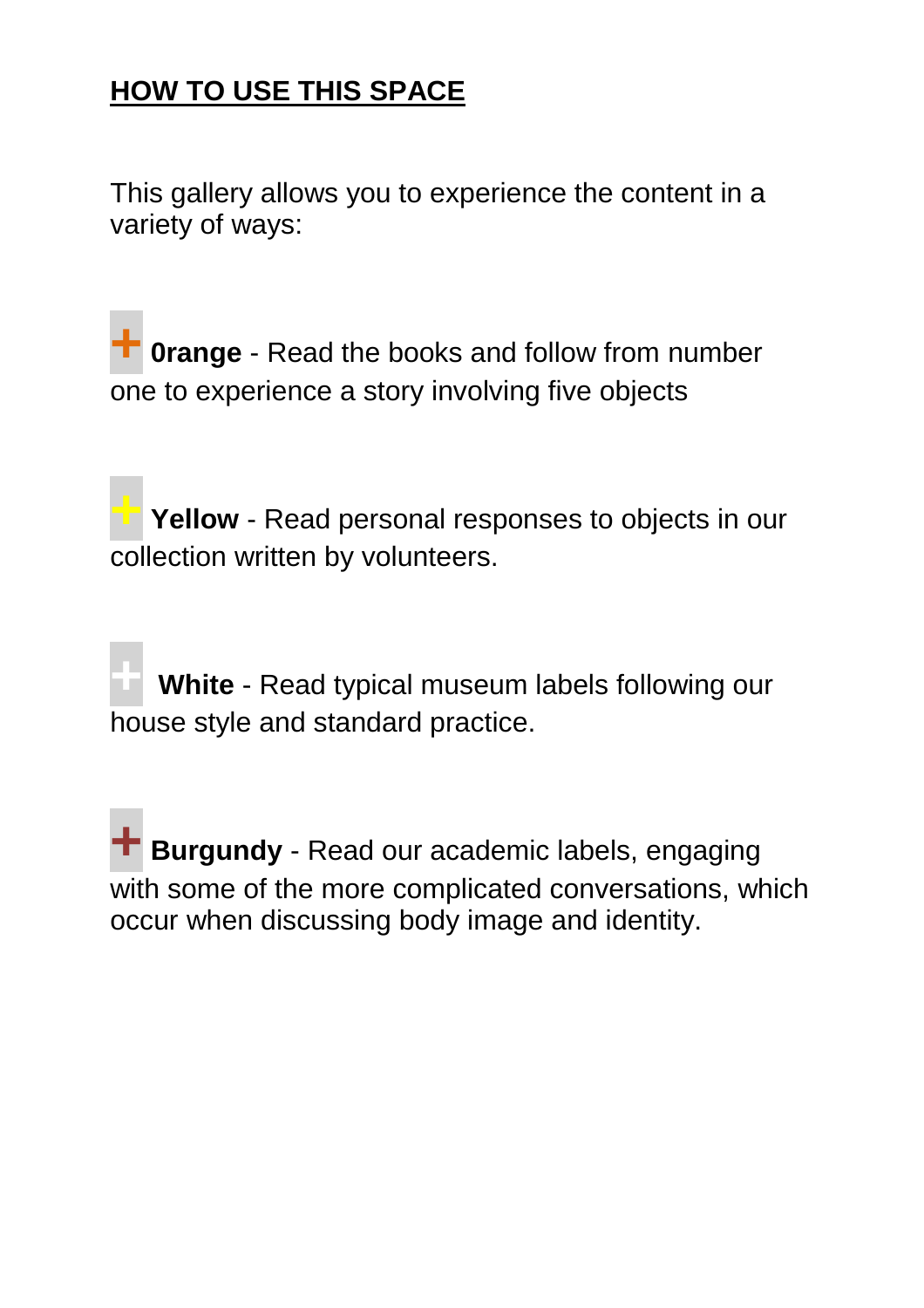## **HOW TO USE THIS SPACE**

This gallery allows you to experience the content in a variety of ways:

**+0range** - Read the books and follow from number one to experience a story involving five objects

**+ Yellow** - Read personal responses to objects in our collection written by volunteers.

**+ White** - Read typical museum labels following our house style and standard practice.

**+ Burgundy** - Read our academic labels, engaging with some of the more complicated conversations, which occur when discussing body image and identity.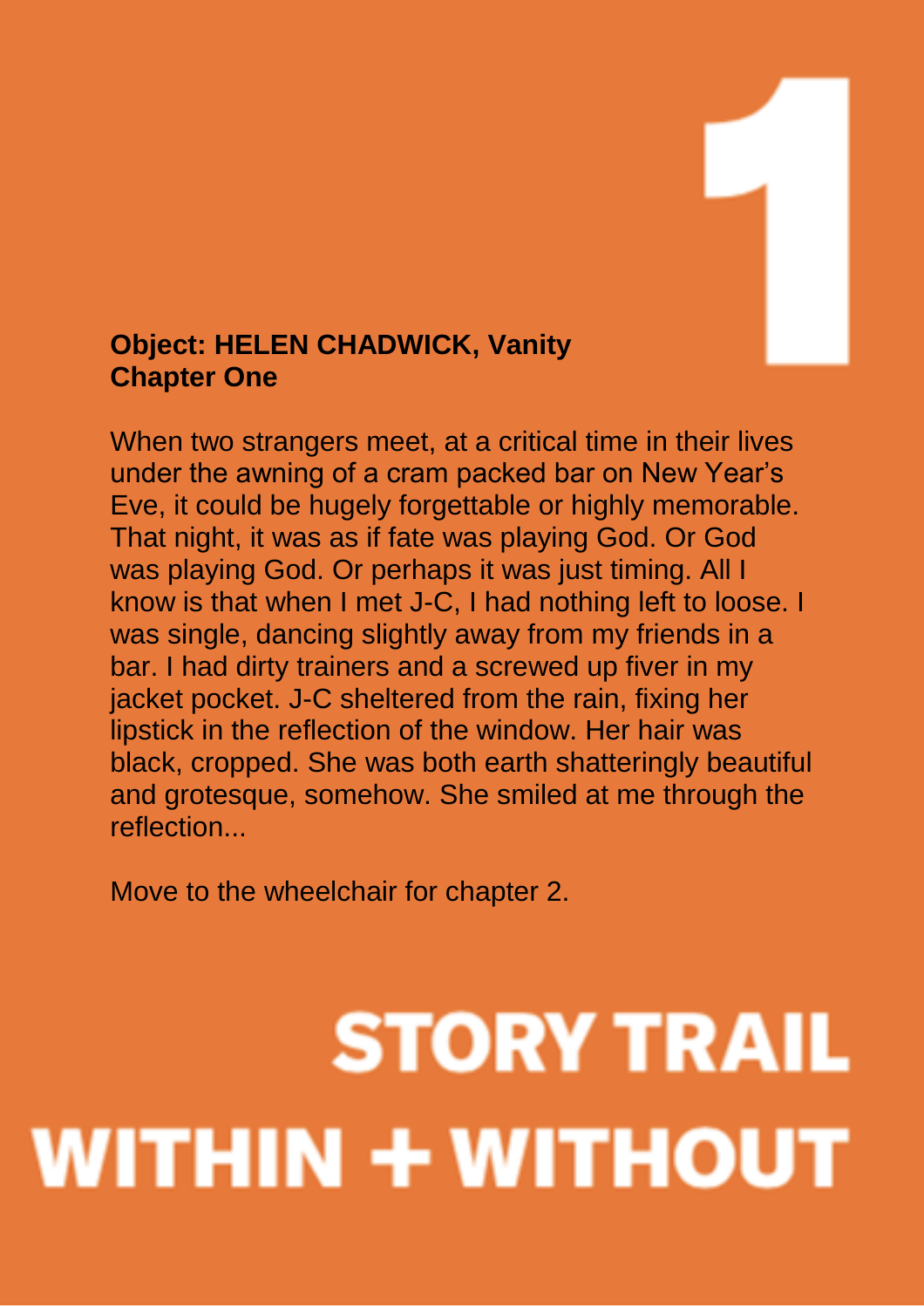#### **Object: HELEN CHADWICK, Vanity Chapter One**

When two strangers meet, at a critical time in their lives under the awning of a cram packed bar on New Year's Eve, it could be hugely forgettable or highly memorable. That night, it was as if fate was playing God. Or God was playing God. Or perhaps it was just timing. All I know is that when I met J-C, I had nothing left to loose. I was single, dancing slightly away from my friends in a bar. I had dirty trainers and a screwed up fiver in my jacket pocket. J-C sheltered from the rain, fixing her lipstick in the reflection of the window. Her hair was black, cropped. She was both earth shatteringly beautiful and grotesque, somehow. She smiled at me through the reflection...

Move to the wheelchair for chapter 2.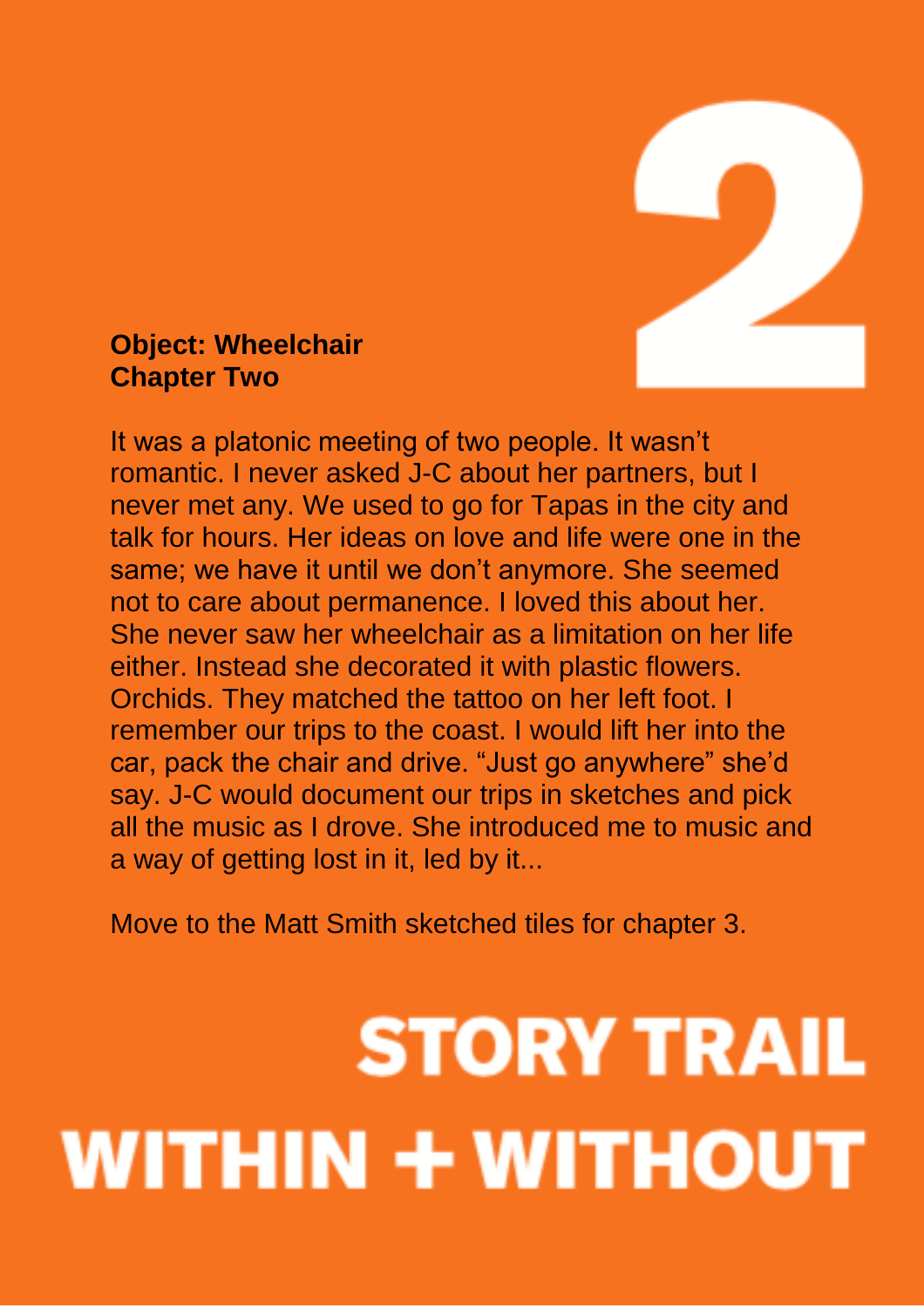

#### **Object: Wheelchair Chapter Two**

It was a platonic meeting of two people. It wasn't romantic. I never asked J-C about her partners, but I never met any. We used to go for Tapas in the city and talk for hours. Her ideas on love and life were one in the same; we have it until we don't anymore. She seemed not to care about permanence. I loved this about her. She never saw her wheelchair as a limitation on her life either. Instead she decorated it with plastic flowers. Orchids. They matched the tattoo on her left foot. I remember our trips to the coast. I would lift her into the car, pack the chair and drive. "Just go anywhere" she'd say. J-C would document our trips in sketches and pick all the music as I drove. She introduced me to music and a way of getting lost in it, led by it...

Move to the Matt Smith sketched tiles for chapter 3.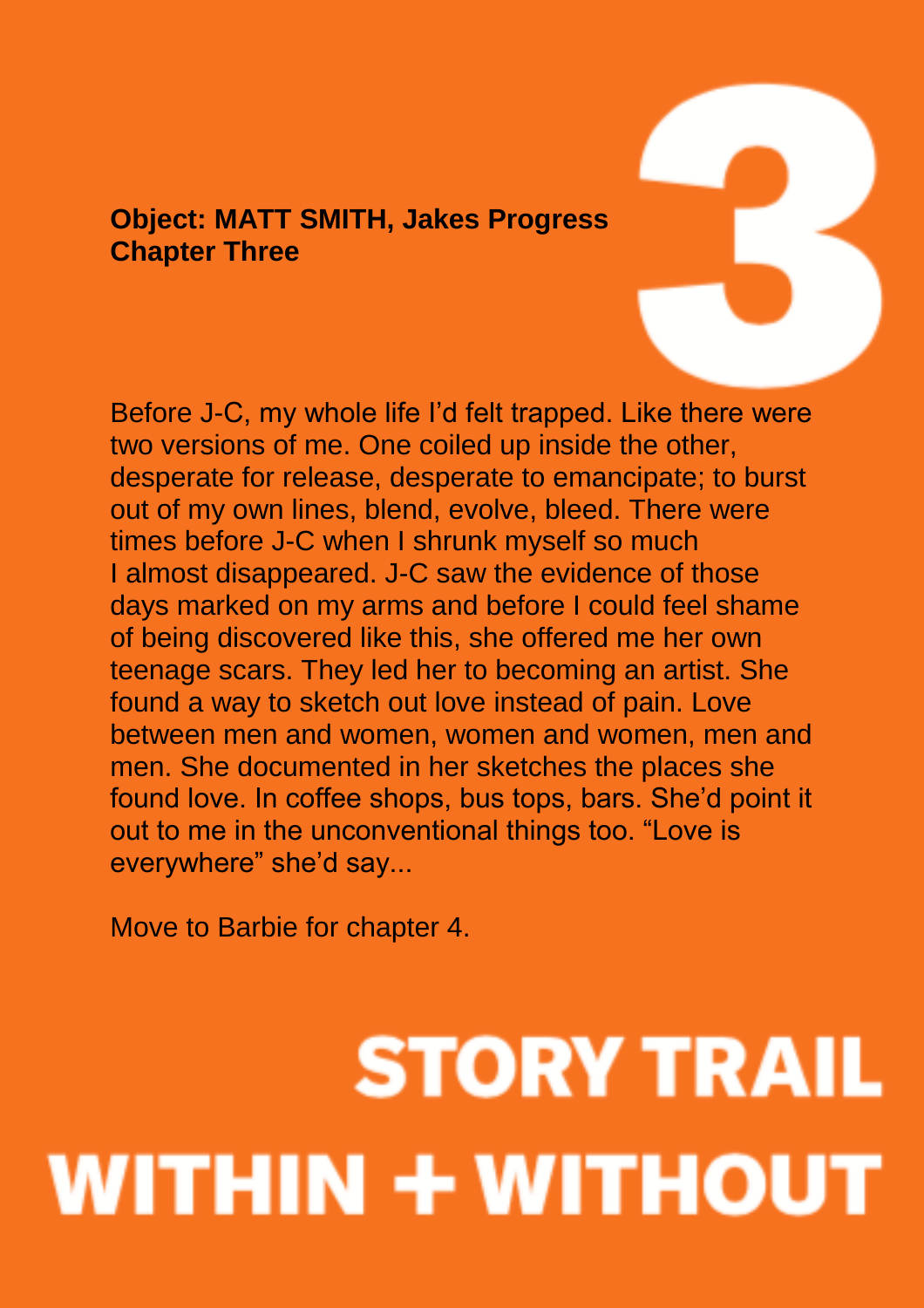#### **Object: MATT SMITH, Jakes Progress Chapter Three**

Before J-C, my whole life I'd felt trapped. Like there were two versions of me. One coiled up inside the other, desperate for release, desperate to emancipate; to burst out of my own lines, blend, evolve, bleed. There were times before J-C when I shrunk myself so much I almost disappeared. J-C saw the evidence of those days marked on my arms and before I could feel shame of being discovered like this, she offered me her own teenage scars. They led her to becoming an artist. She found a way to sketch out love instead of pain. Love between men and women, women and women, men and men. She documented in her sketches the places she found love. In coffee shops, bus tops, bars. She'd point it out to me in the unconventional things too. "Love is everywhere" she'd say...

Move to Barbie for chapter 4.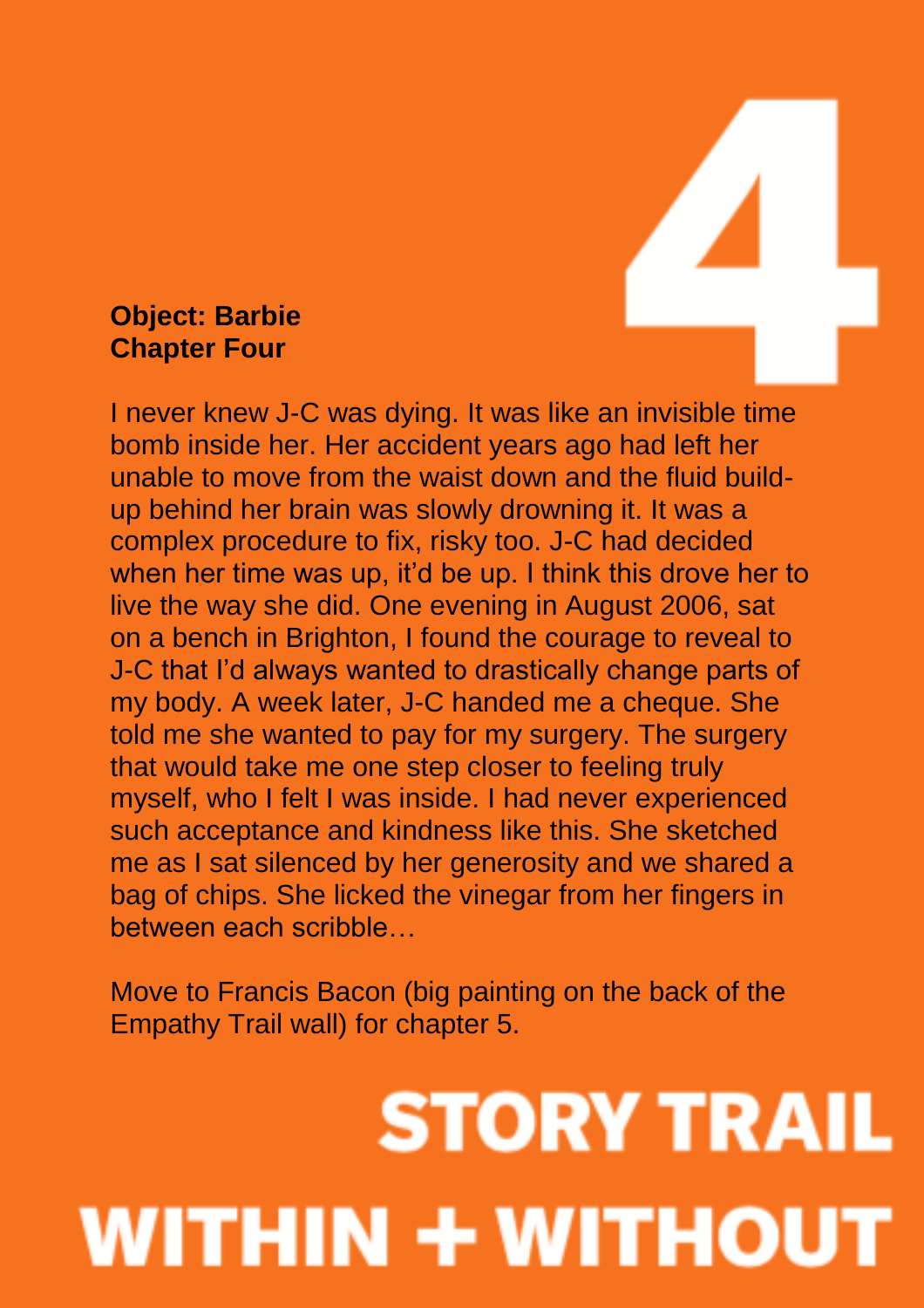#### **Object: Barbie Chapter Four**

I never knew J-C was dying. It was like an invisible time bomb inside her. Her accident years ago had left her unable to move from the waist down and the fluid buildup behind her brain was slowly drowning it. It was a complex procedure to fix, risky too. J-C had decided when her time was up, it'd be up. I think this drove her to live the way she did. One evening in August 2006, sat on a bench in Brighton, I found the courage to reveal to J-C that I'd always wanted to drastically change parts of my body. A week later, J-C handed me a cheque. She told me she wanted to pay for my surgery. The surgery that would take me one step closer to feeling truly myself, who I felt I was inside. I had never experienced such acceptance and kindness like this. She sketched me as I sat silenced by her generosity and we shared a bag of chips. She licked the vinegar from her fingers in between each scribble…

Move to Francis Bacon (big painting on the back of the Empathy Trail wall) for chapter 5.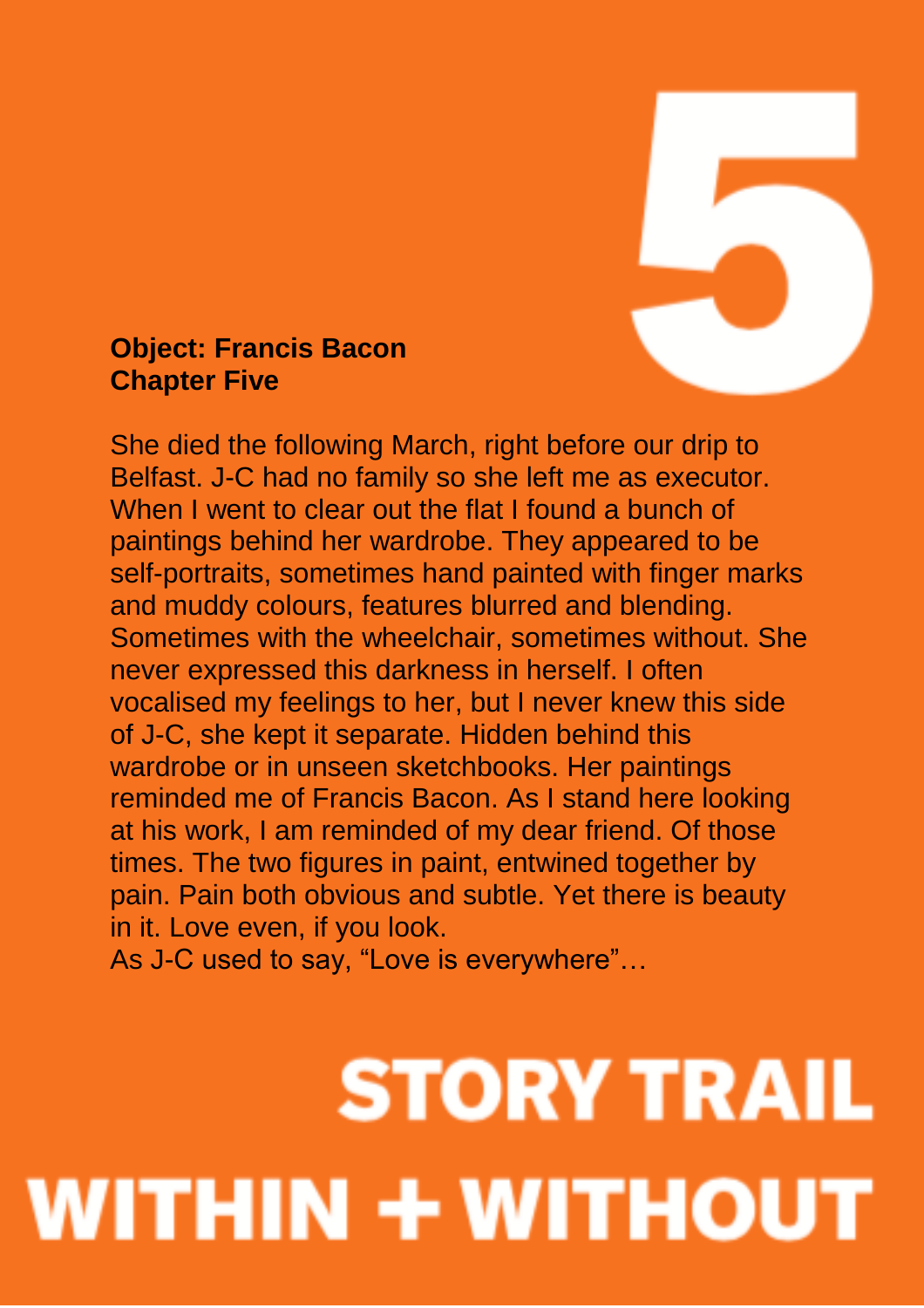

#### **Object: Francis Bacon Chapter Five**

She died the following March, right before our drip to Belfast. J-C had no family so she left me as executor. When I went to clear out the flat I found a bunch of paintings behind her wardrobe. They appeared to be self-portraits, sometimes hand painted with finger marks and muddy colours, features blurred and blending. Sometimes with the wheelchair, sometimes without. She never expressed this darkness in herself. I often vocalised my feelings to her, but I never knew this side of J-C, she kept it separate. Hidden behind this wardrobe or in unseen sketchbooks. Her paintings reminded me of Francis Bacon. As I stand here looking at his work, I am reminded of my dear friend. Of those times. The two figures in paint, entwined together by pain. Pain both obvious and subtle. Yet there is beauty in it. Love even, if you look.

As J-C used to say, "Love is everywhere"…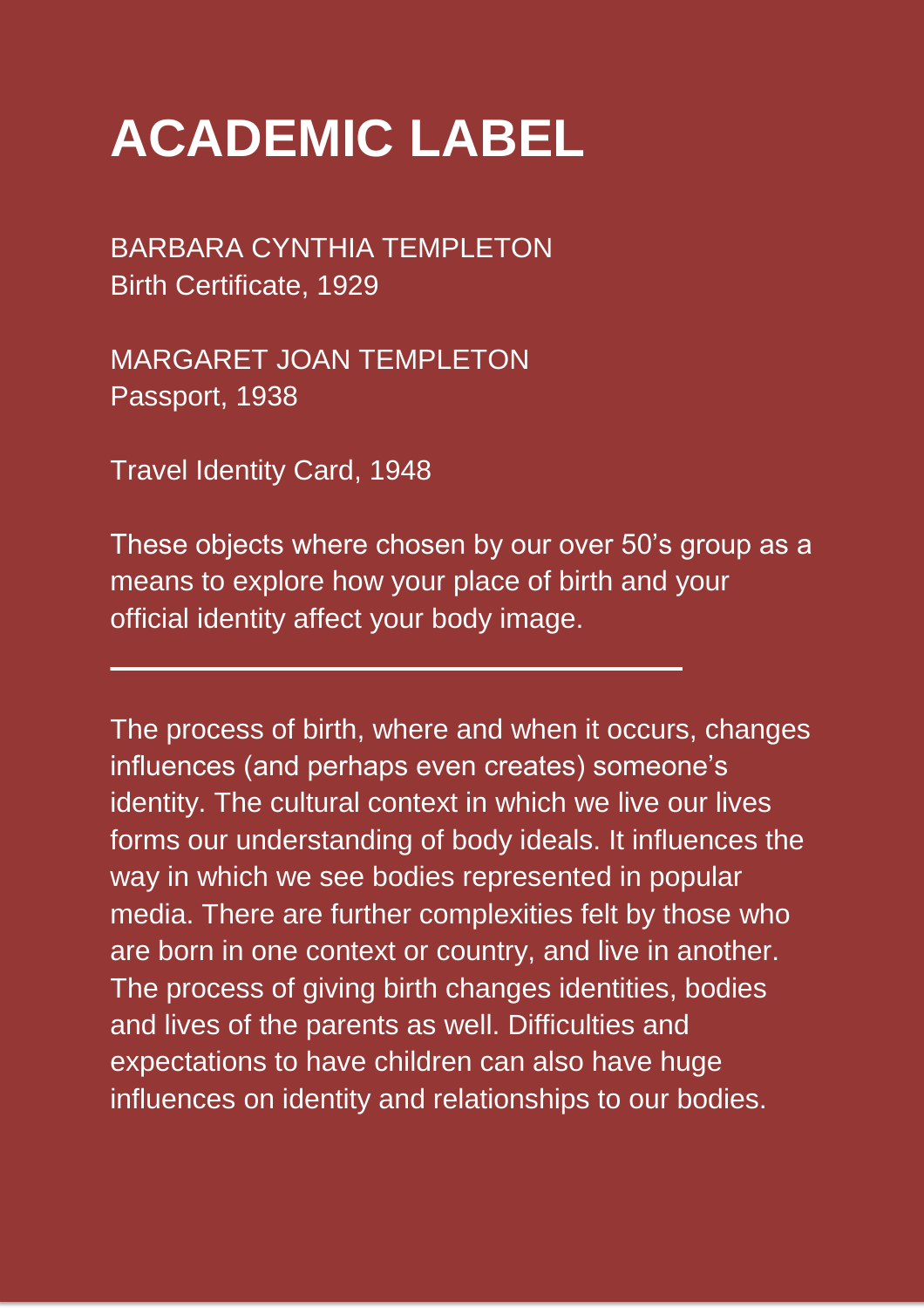## **ACADEMIC LABEL**

BARBARA CYNTHIA TEMPLETON Birth Certificate, 1929

MARGARET JOAN TEMPLETON Passport, 1938

Travel Identity Card, 1948

These objects where chosen by our over 50's group as a means to explore how your place of birth and your official identity affect your body image.

The process of birth, where and when it occurs, changes influences (and perhaps even creates) someone's identity. The cultural context in which we live our lives forms our understanding of body ideals. It influences the way in which we see bodies represented in popular media. There are further complexities felt by those who are born in one context or country, and live in another. The process of giving birth changes identities, bodies and lives of the parents as well. Difficulties and expectations to have children can also have huge influences on identity and relationships to our bodies.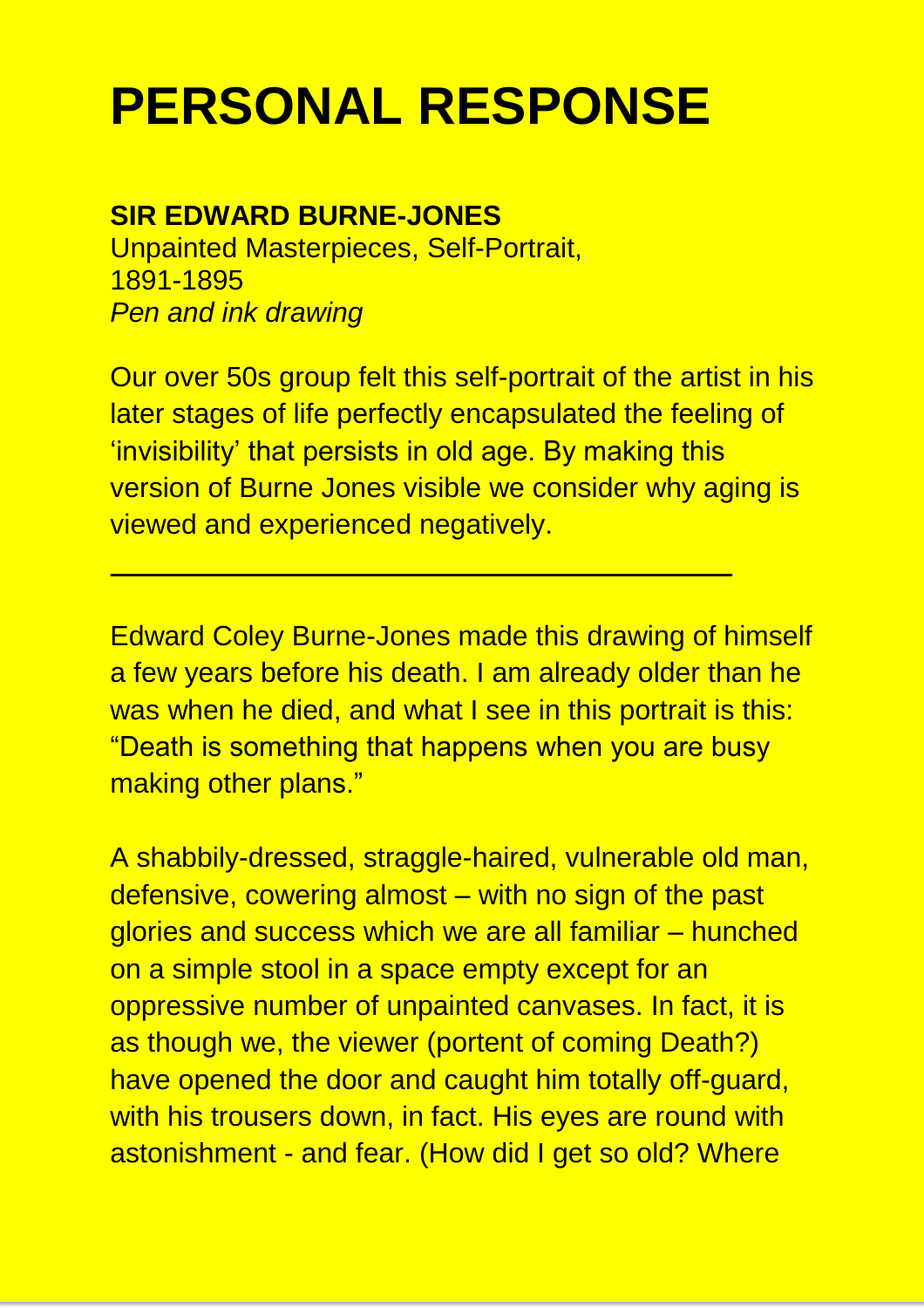## **PERSONAL RESPONSE**

#### **SIR EDWARD BURNE-JONES**

Unpainted Masterpieces, Self-Portrait, 1891-1895 *Pen and ink drawing* 

Our over 50s group felt this self-portrait of the artist in his later stages of life perfectly encapsulated the feeling of 'invisibility' that persists in old age. By making this version of Burne Jones visible we consider why aging is viewed and experienced negatively.

Edward Coley Burne-Jones made this drawing of himself a few years before his death. I am already older than he was when he died, and what I see in this portrait is this: "Death is something that happens when you are busy making other plans."

A shabbily-dressed, straggle-haired, vulnerable old man, defensive, cowering almost – with no sign of the past glories and success which we are all familiar – hunched on a simple stool in a space empty except for an oppressive number of unpainted canvases. In fact, it is as though we, the viewer (portent of coming Death?) have opened the door and caught him totally off-guard, with his trousers down, in fact. His eyes are round with astonishment - and fear. (How did I get so old? Where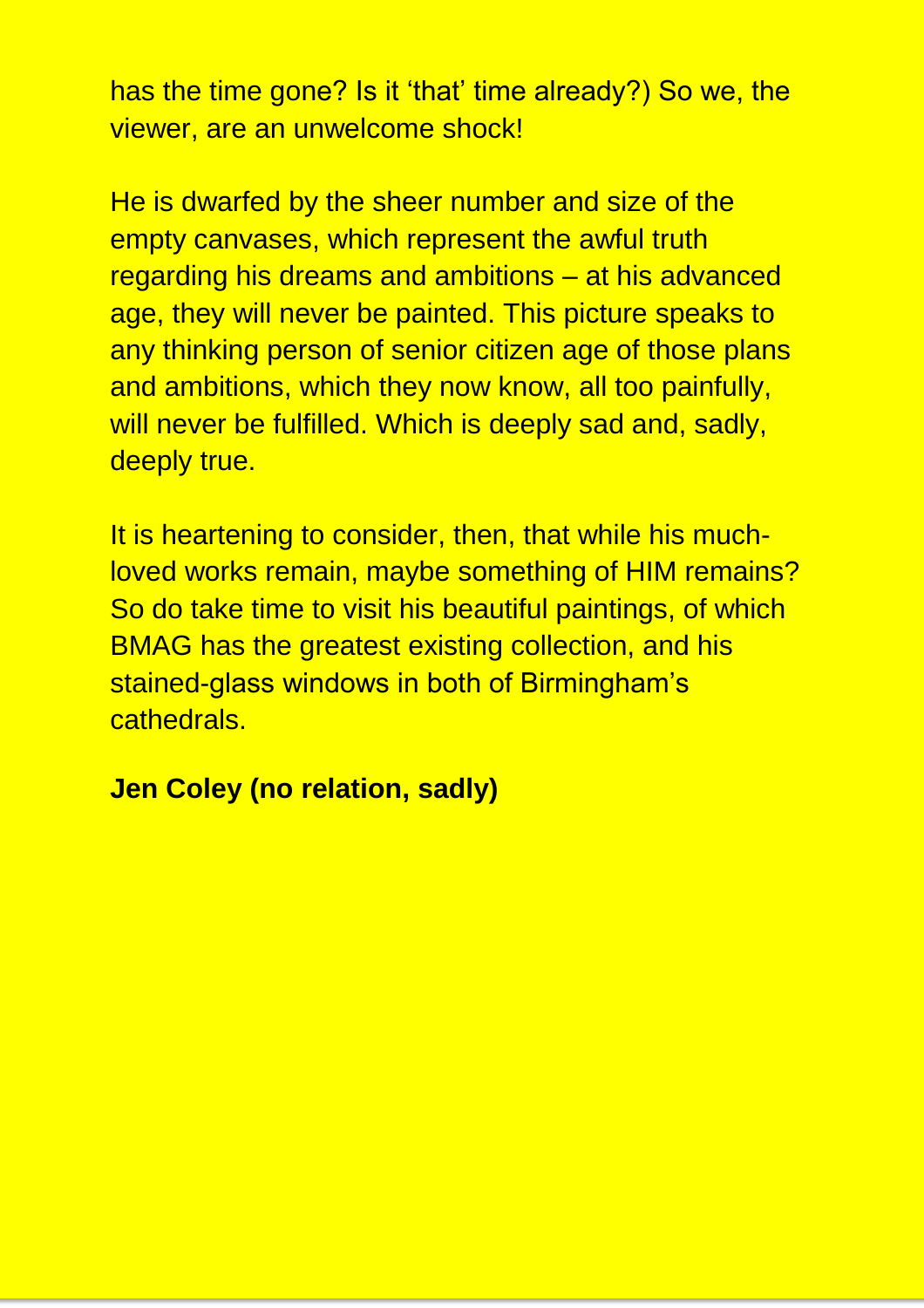has the time gone? Is it 'that' time already?) So we, the viewer, are an unwelcome shock!

He is dwarfed by the sheer number and size of the empty canvases, which represent the awful truth regarding his dreams and ambitions – at his advanced age, they will never be painted. This picture speaks to any thinking person of senior citizen age of those plans and ambitions, which they now know, all too painfully, will never be fulfilled. Which is deeply sad and, sadly, deeply true.

It is heartening to consider, then, that while his muchloved works remain, maybe something of HIM remains? So do take time to visit his beautiful paintings, of which BMAG has the greatest existing collection, and his stained-glass windows in both of Birmingham's cathedrals.

#### **Jen Coley (no relation, sadly)**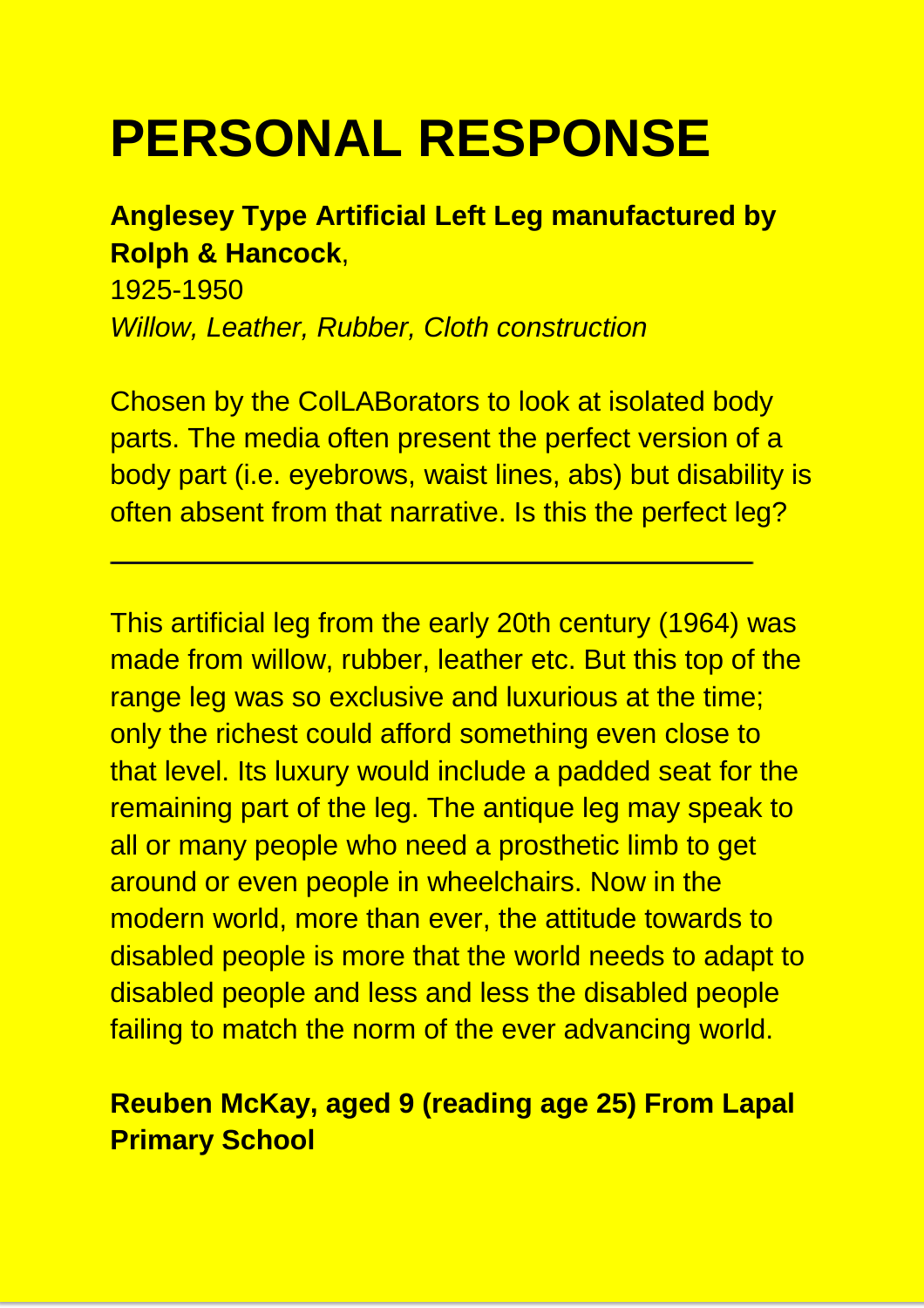## **PERSONAL RESPONSE**

#### **Anglesey Type Artificial Left Leg manufactured by Rolph & Hancock**,

1925-1950 *Willow, Leather, Rubber, Cloth construction* 

Chosen by the ColLABorators to look at isolated body parts. The media often present the perfect version of a body part (i.e. eyebrows, waist lines, abs) but disability is often absent from that narrative. Is this the perfect leg?

This artificial leg from the early 20th century (1964) was made from willow, rubber, leather etc. But this top of the range leg was so exclusive and luxurious at the time; only the richest could afford something even close to that level. Its luxury would include a padded seat for the remaining part of the leg. The antique leg may speak to all or many people who need a prosthetic limb to get around or even people in wheelchairs. Now in the modern world, more than ever, the attitude towards to disabled people is more that the world needs to adapt to disabled people and less and less the disabled people failing to match the norm of the ever advancing world.

#### **Reuben McKay, aged 9 (reading age 25) From Lapal Primary School**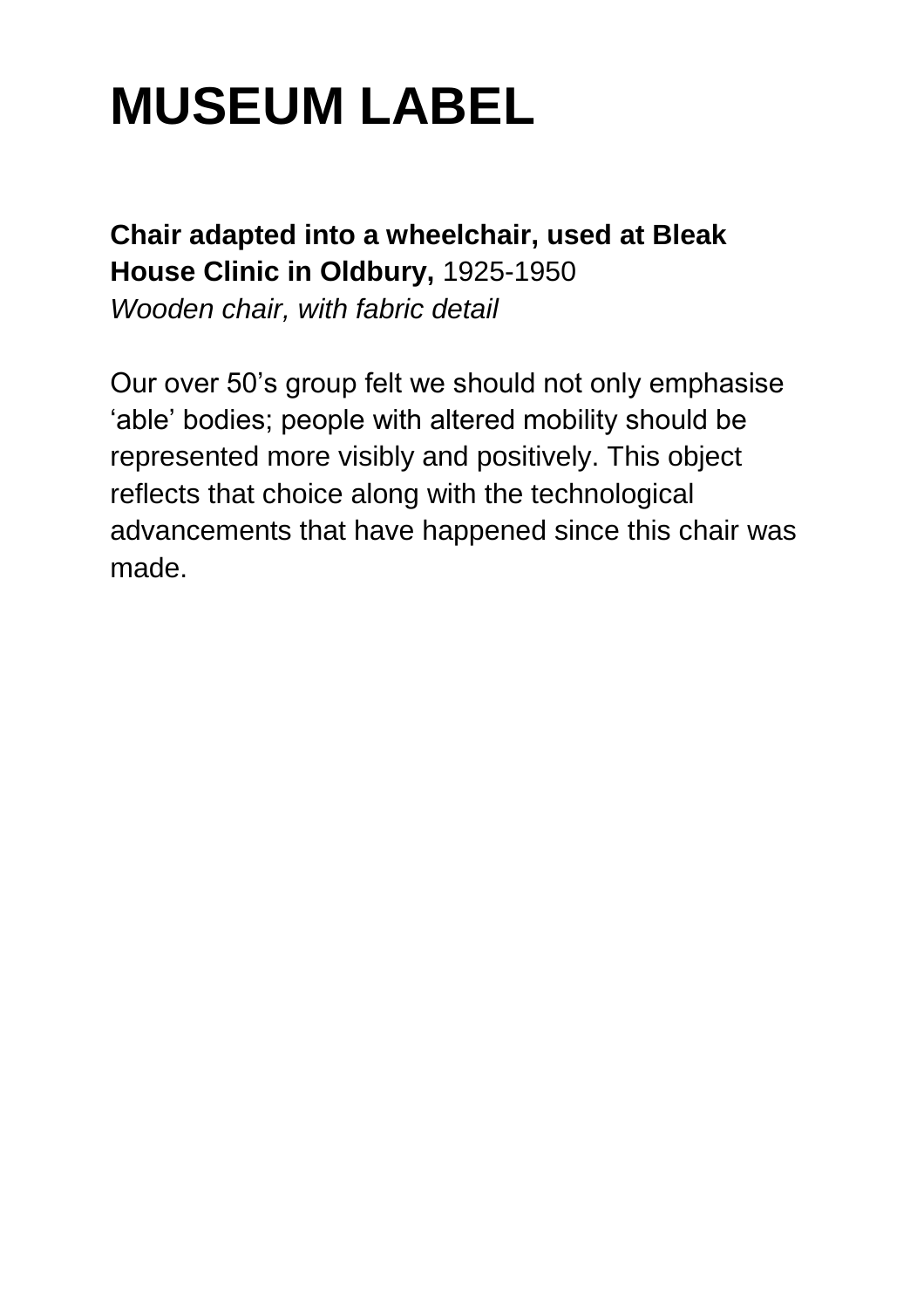## **Chair adapted into a wheelchair, used at Bleak House Clinic in Oldbury,** 1925-1950

*Wooden chair, with fabric detail* 

Our over 50's group felt we should not only emphasise 'able' bodies; people with altered mobility should be represented more visibly and positively. This object reflects that choice along with the technological advancements that have happened since this chair was made.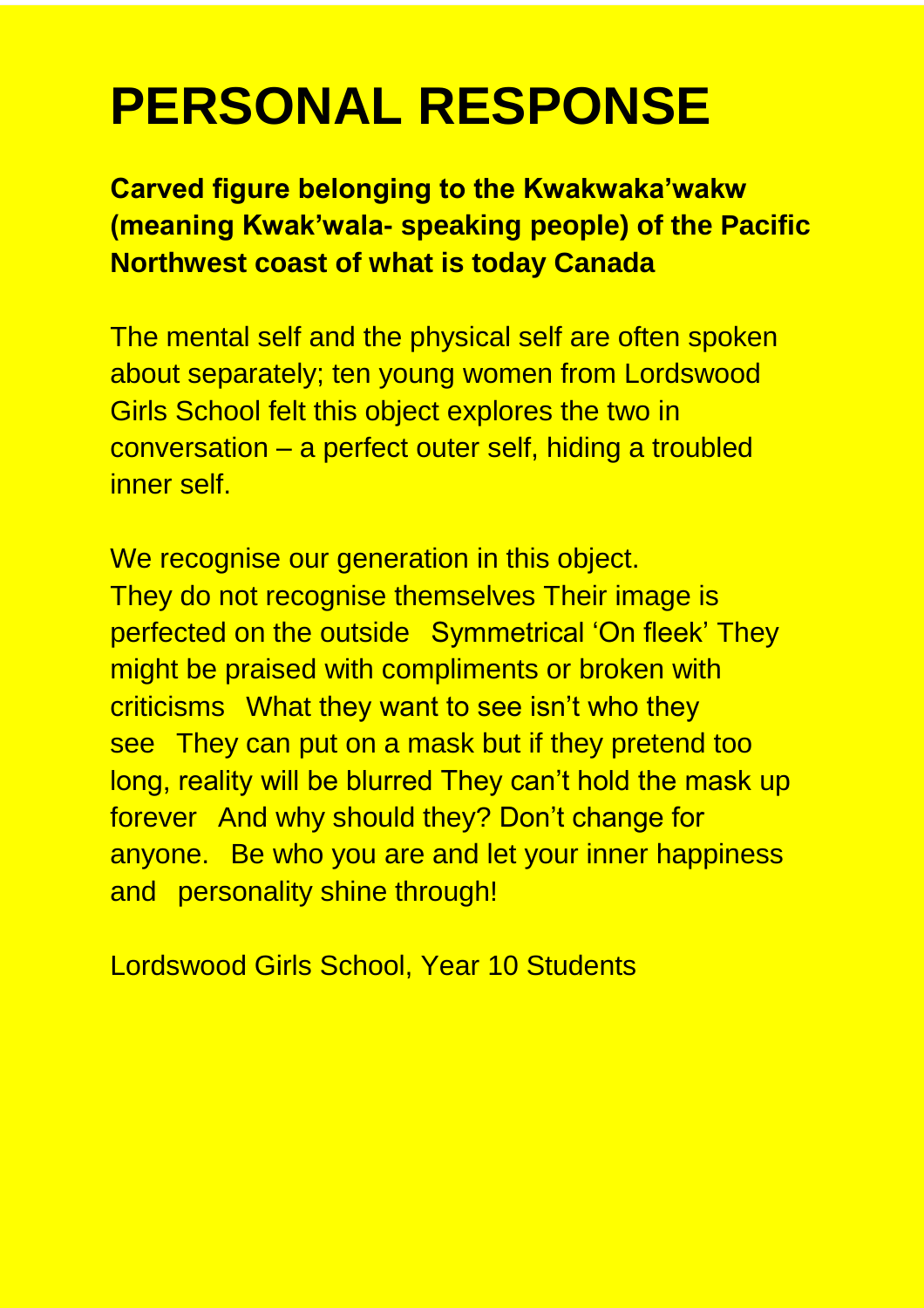## **PERSONAL RESPONSE**

**Carved figure belonging to the Kwakwaka'wakw (meaning Kwak'wala- speaking people) of the Pacific Northwest coast of what is today Canada** 

The mental self and the physical self are often spoken about separately; ten young women from Lordswood Girls School felt this object explores the two in conversation – a perfect outer self, hiding a troubled inner self.

We recognise our generation in this object. They do not recognise themselves Their image is perfected on the outside Symmetrical 'On fleek' They might be praised with compliments or broken with criticisms What they want to see isn't who they see They can put on a mask but if they pretend too long, reality will be blurred They can't hold the mask up forever And why should they? Don't change for anyone. Be who you are and let your inner happiness and personality shine through!

Lordswood Girls School, Year 10 Students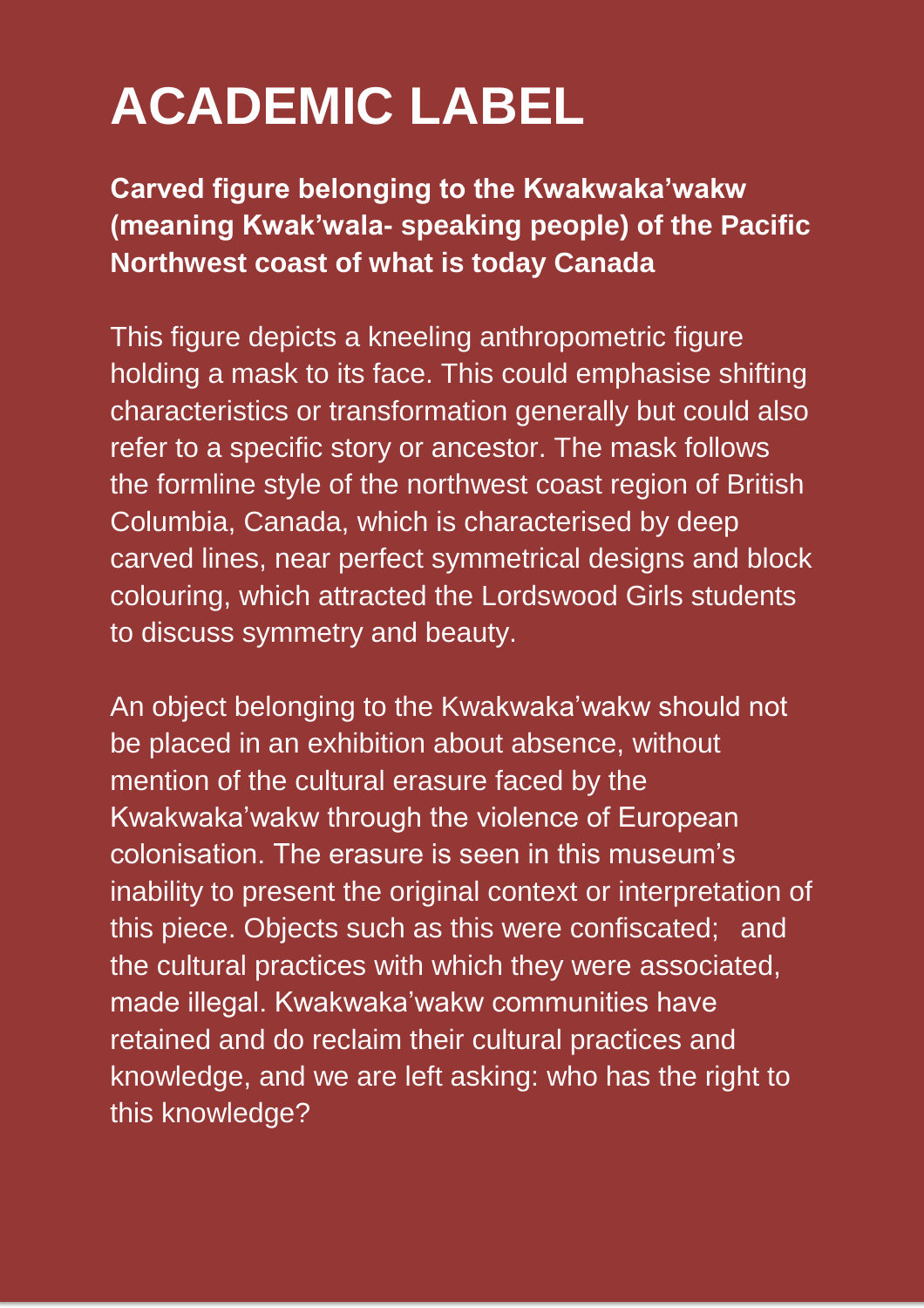## **ACADEMIC LABEL**

**Carved figure belonging to the Kwakwaka'wakw (meaning Kwak'wala- speaking people) of the Pacific Northwest coast of what is today Canada** 

This figure depicts a kneeling anthropometric figure holding a mask to its face. This could emphasise shifting characteristics or transformation generally but could also refer to a specific story or ancestor. The mask follows the formline style of the northwest coast region of British Columbia, Canada, which is characterised by deep carved lines, near perfect symmetrical designs and block colouring, which attracted the Lordswood Girls students to discuss symmetry and beauty.

An object belonging to the Kwakwaka'wakw should not be placed in an exhibition about absence, without mention of the cultural erasure faced by the Kwakwaka'wakw through the violence of European colonisation. The erasure is seen in this museum's inability to present the original context or interpretation of this piece. Objects such as this were confiscated; and the cultural practices with which they were associated, made illegal. Kwakwaka'wakw communities have retained and do reclaim their cultural practices and knowledge, and we are left asking: who has the right to this knowledge?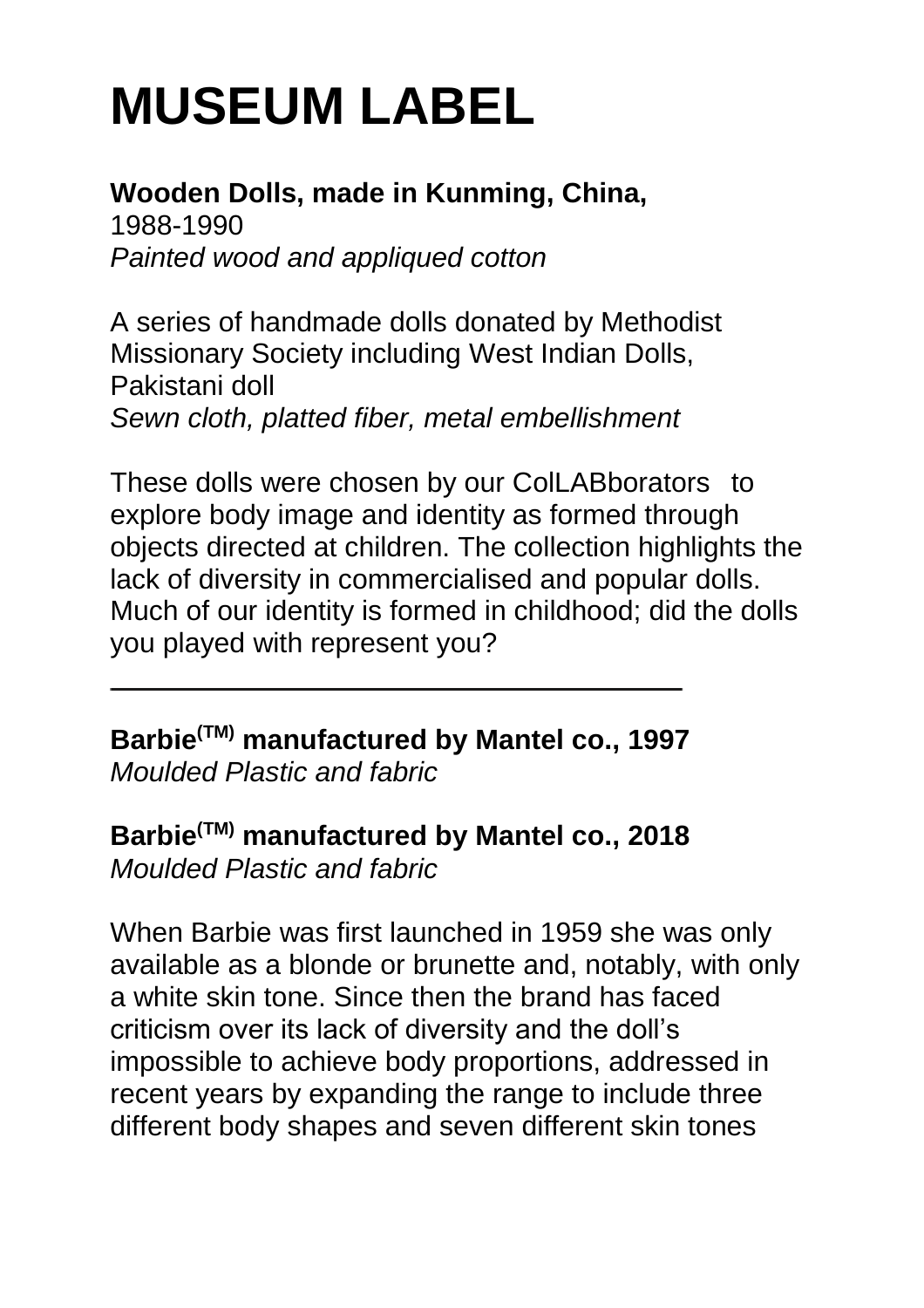#### **Wooden Dolls, made in Kunming, China,**

1988-1990 *Painted wood and appliqued cotton* 

A series of handmade dolls donated by Methodist Missionary Society including West Indian Dolls, Pakistani doll *Sewn cloth, platted fiber, metal embellishment* 

These dolls were chosen by our ColLABborators to explore body image and identity as formed through objects directed at children. The collection highlights the lack of diversity in commercialised and popular dolls. Much of our identity is formed in childhood; did the dolls you played with represent you?

**Barbie(TM) manufactured by Mantel co., 1997** 

*Moulded Plastic and fabric* 

**Barbie(TM) manufactured by Mantel co., 2018**  *Moulded Plastic and fabric* 

When Barbie was first launched in 1959 she was only available as a blonde or brunette and, notably, with only a white skin tone. Since then the brand has faced criticism over its lack of diversity and the doll's impossible to achieve body proportions, addressed in recent years by expanding the range to include three different body shapes and seven different skin tones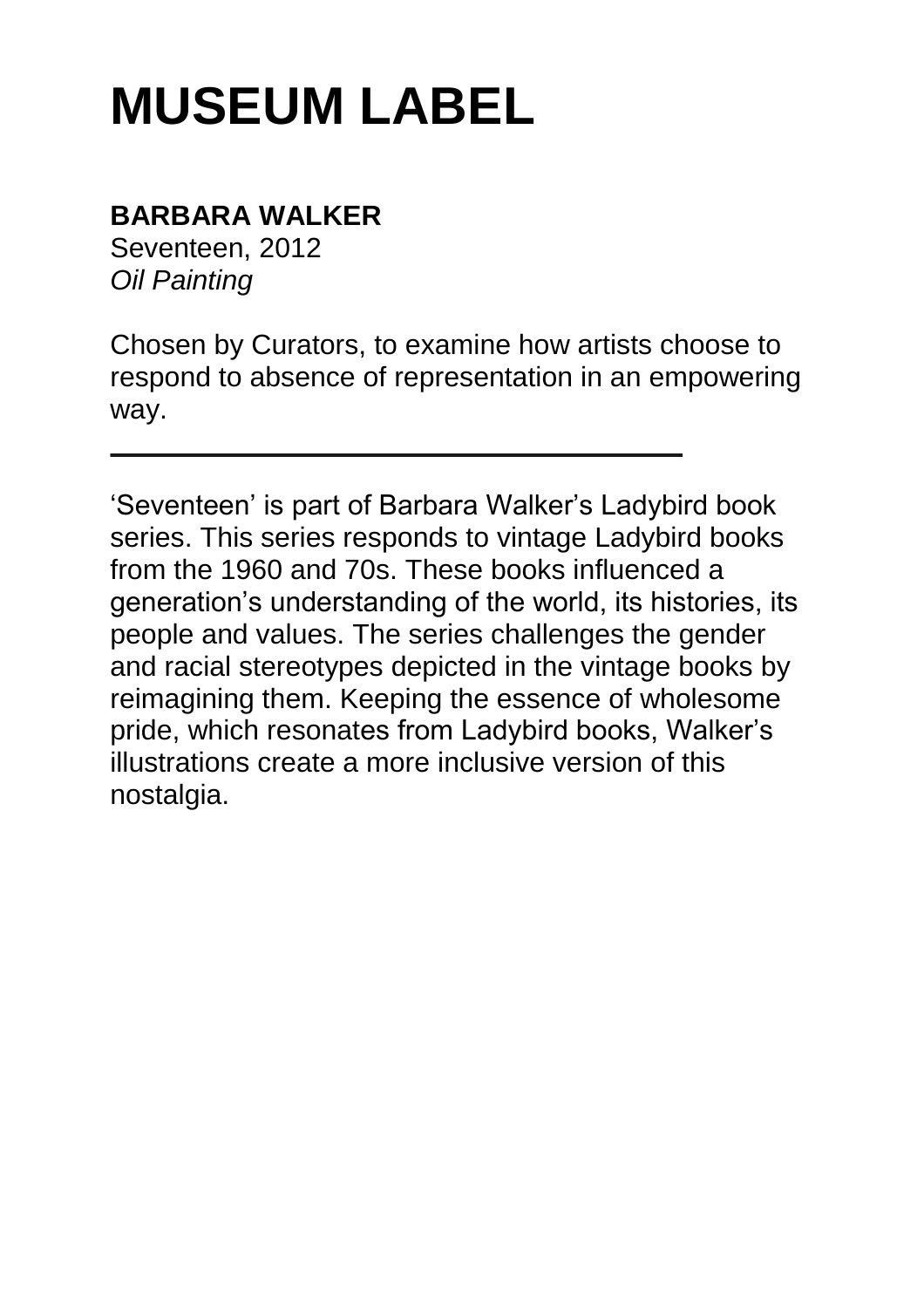## **BARBARA WALKER**

Seventeen, 2012 *Oil Painting* 

Chosen by Curators, to examine how artists choose to respond to absence of representation in an empowering way.

'Seventeen' is part of Barbara Walker's Ladybird book series. This series responds to vintage Ladybird books from the 1960 and 70s. These books influenced a generation's understanding of the world, its histories, its people and values. The series challenges the gender and racial stereotypes depicted in the vintage books by reimagining them. Keeping the essence of wholesome pride, which resonates from Ladybird books, Walker's illustrations create a more inclusive version of this nostalgia.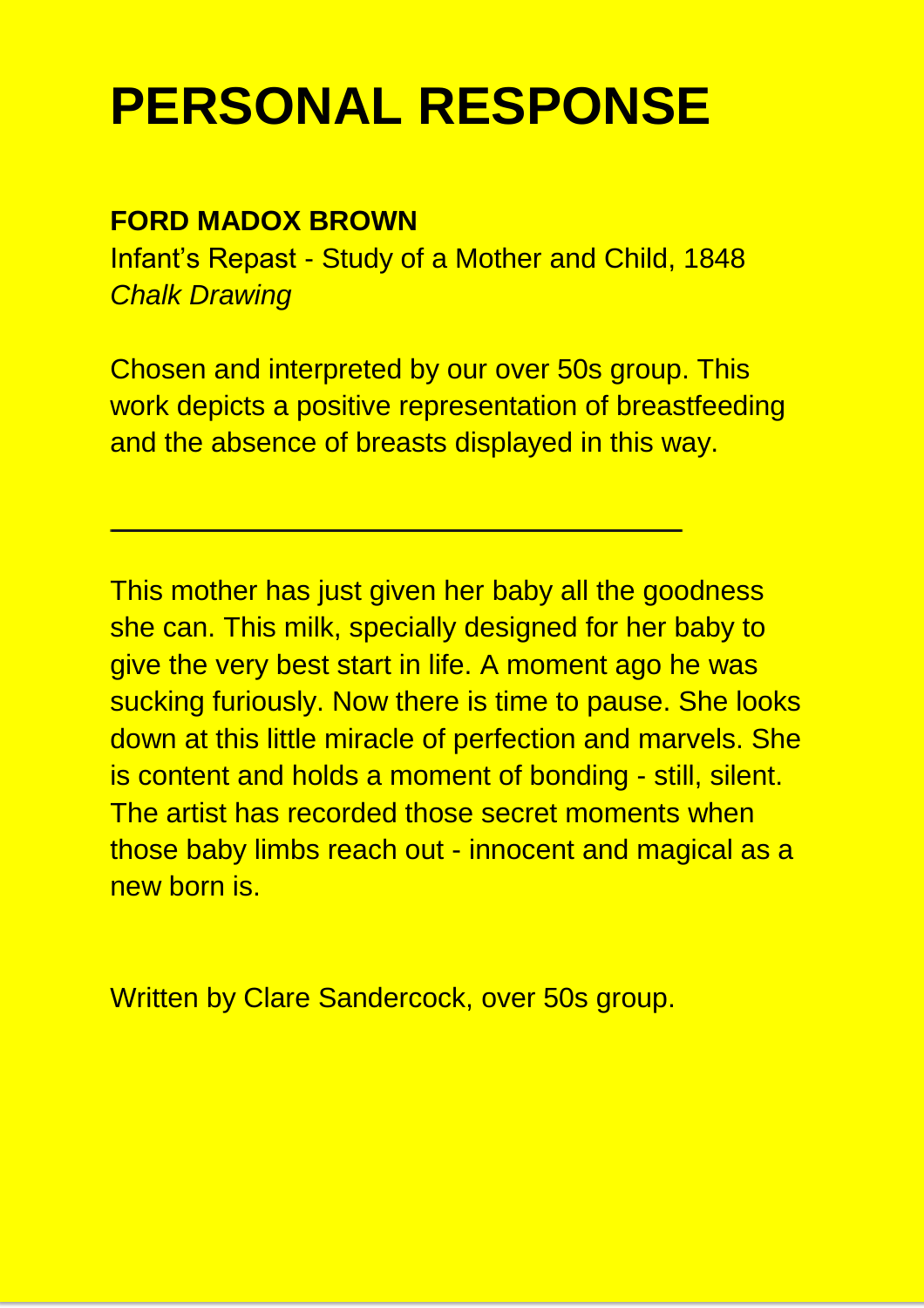## **PERSONAL RESPONSE**

#### **FORD MADOX BROWN**

Infant's Repast - Study of a Mother and Child, 1848 *Chalk Drawing*

Chosen and interpreted by our over 50s group. This work depicts a positive representation of breastfeeding and the absence of breasts displayed in this way.

This mother has just given her baby all the goodness she can. This milk, specially designed for her baby to give the very best start in life. A moment ago he was sucking furiously. Now there is time to pause. She looks down at this little miracle of perfection and marvels. She is content and holds a moment of bonding - still, silent. The artist has recorded those secret moments when those baby limbs reach out - innocent and magical as a new born is.

Written by Clare Sandercock, over 50s group.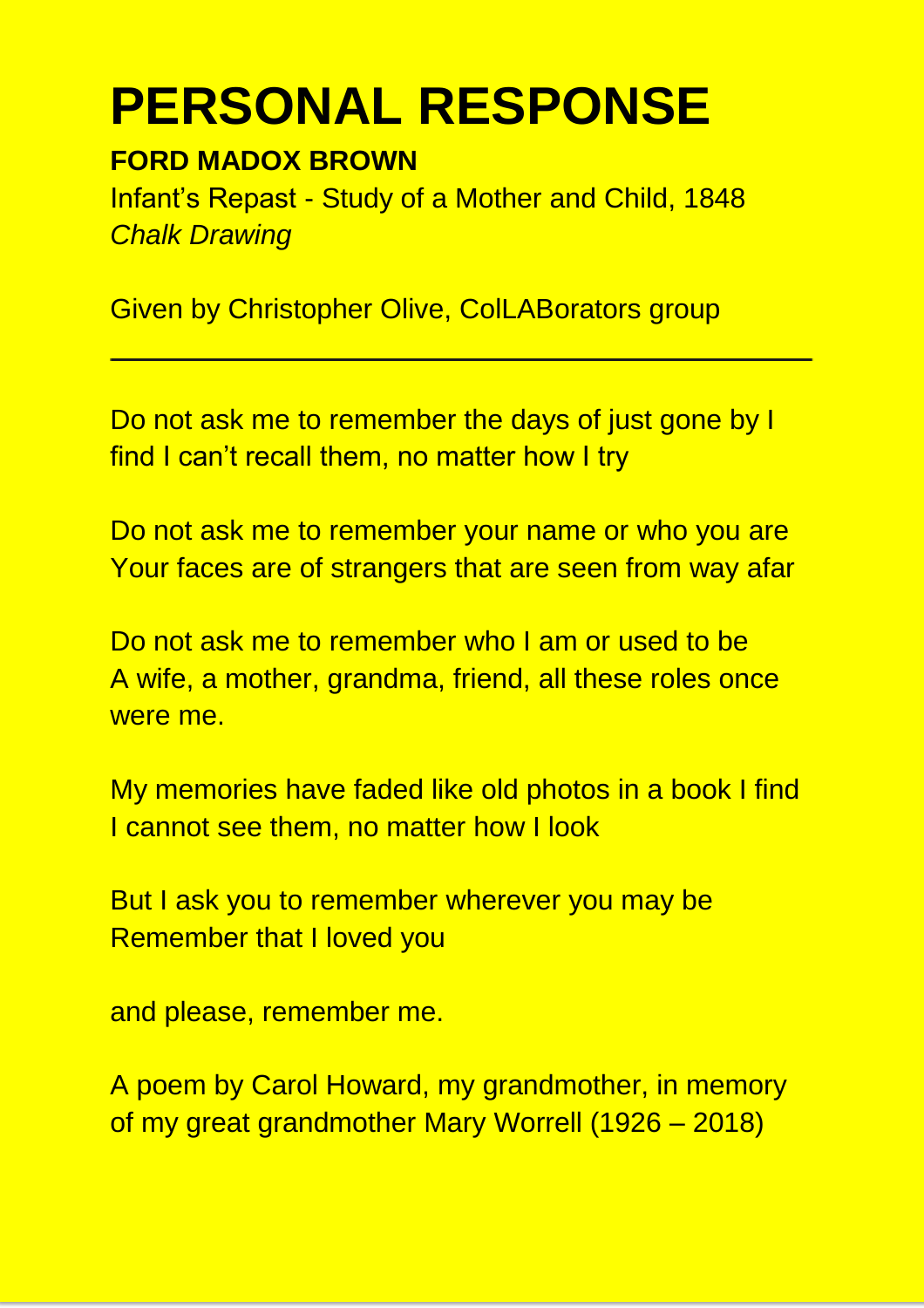## **PERSONAL RESPONSE**

#### **FORD MADOX BROWN**

Infant's Repast - Study of a Mother and Child, 1848 *Chalk Drawing* 

Given by Christopher Olive, ColLABorators group

Do not ask me to remember the days of just gone by I find I can't recall them, no matter how I try

Do not ask me to remember your name or who you are Your faces are of strangers that are seen from way afar

Do not ask me to remember who I am or used to be A wife, a mother, grandma, friend, all these roles once were me.

My memories have faded like old photos in a book I find I cannot see them, no matter how I look

But I ask you to remember wherever you may be Remember that I loved you

and please, remember me.

A poem by Carol Howard, my grandmother, in memory of my great grandmother Mary Worrell (1926 – 2018)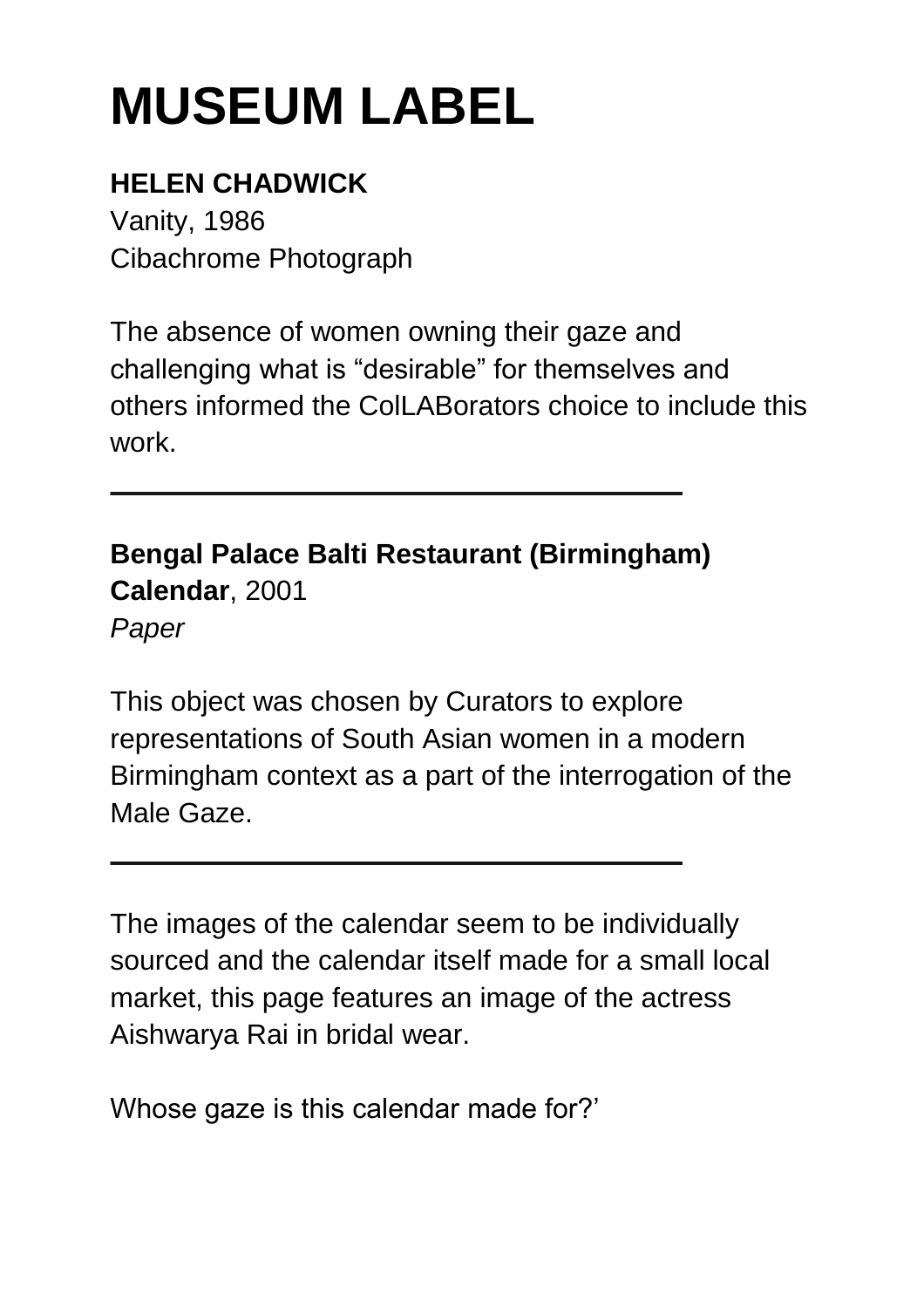## **HELEN CHADWICK**

Vanity, 1986 Cibachrome Photograph

The absence of women owning their gaze and challenging what is "desirable" for themselves and others informed the ColLABorators choice to include this work.

**Bengal Palace Balti Restaurant (Birmingham) Calendar**, 2001 *Paper* 

This object was chosen by Curators to explore representations of South Asian women in a modern Birmingham context as a part of the interrogation of the Male Gaze.

The images of the calendar seem to be individually sourced and the calendar itself made for a small local market, this page features an image of the actress Aishwarya Rai in bridal wear.

Whose gaze is this calendar made for?'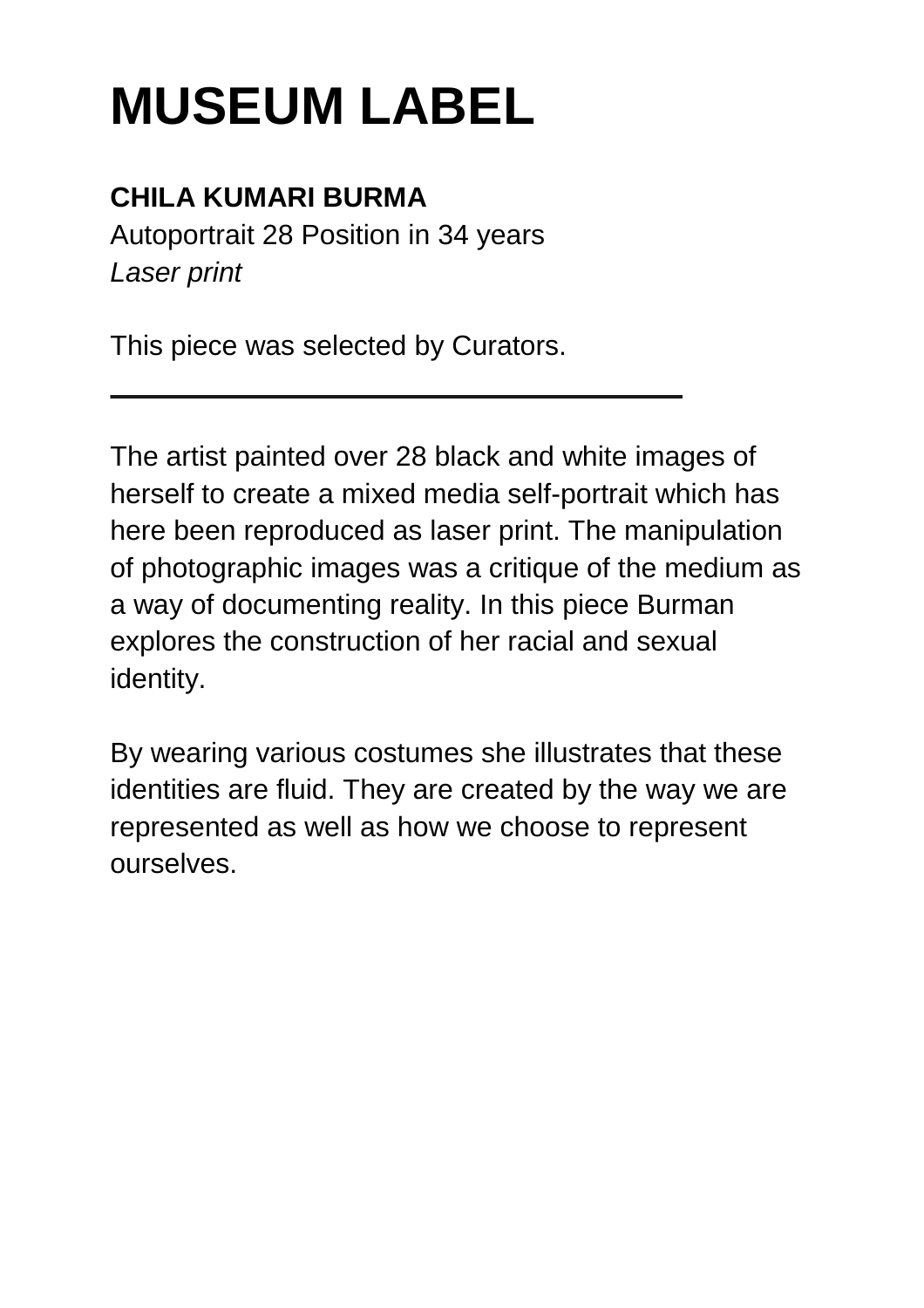## **CHILA KUMARI BURMA**

Autoportrait 28 Position in 34 years *Laser print* 

This piece was selected by Curators.

The artist painted over 28 black and white images of herself to create a mixed media self-portrait which has here been reproduced as laser print. The manipulation of photographic images was a critique of the medium as a way of documenting reality. In this piece Burman explores the construction of her racial and sexual identity.

By wearing various costumes she illustrates that these identities are fluid. They are created by the way we are represented as well as how we choose to represent ourselves.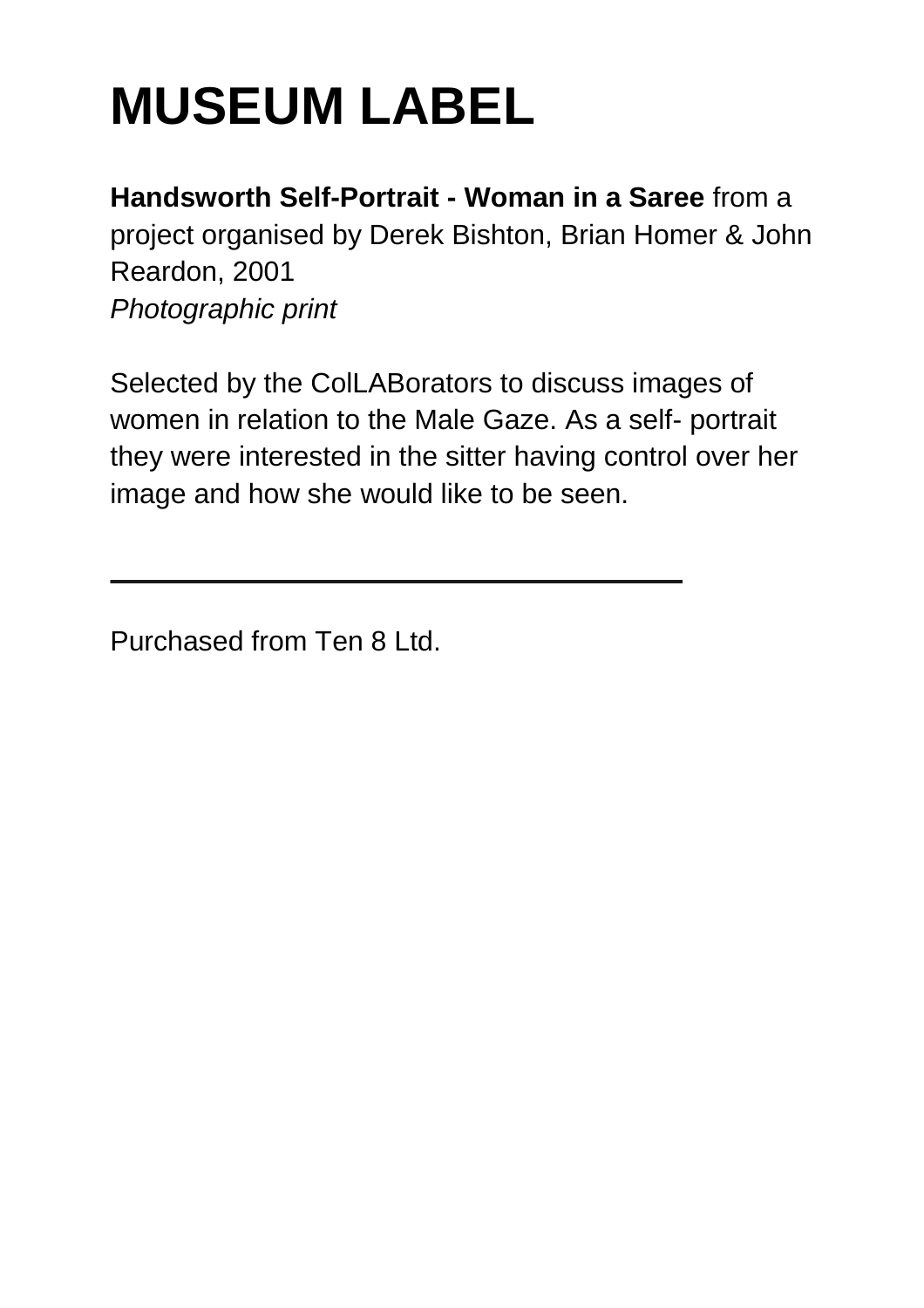**Handsworth Self-Portrait - Woman in a Saree** from a project organised by Derek Bishton, Brian Homer & John Reardon, 2001 *Photographic print* 

Selected by the ColLABorators to discuss images of women in relation to the Male Gaze. As a self- portrait they were interested in the sitter having control over her image and how she would like to be seen.

Purchased from Ten 8 Ltd.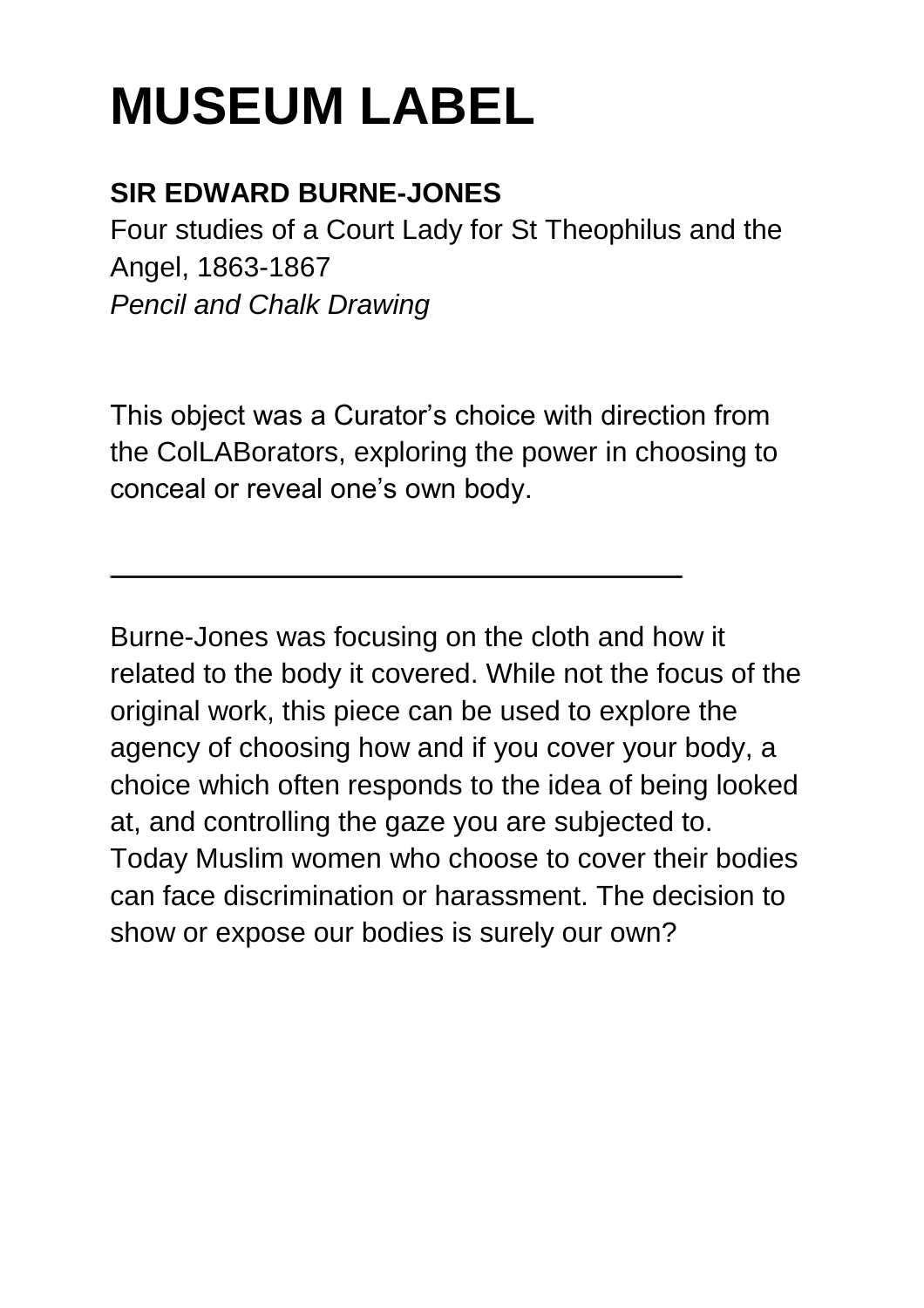### **SIR EDWARD BURNE-JONES**

Four studies of a Court Lady for St Theophilus and the Angel, 1863-1867 *Pencil and Chalk Drawing* 

This object was a Curator's choice with direction from the ColLABorators, exploring the power in choosing to conceal or reveal one's own body.

Burne-Jones was focusing on the cloth and how it related to the body it covered. While not the focus of the original work, this piece can be used to explore the agency of choosing how and if you cover your body, a choice which often responds to the idea of being looked at, and controlling the gaze you are subjected to. Today Muslim women who choose to cover their bodies can face discrimination or harassment. The decision to show or expose our bodies is surely our own?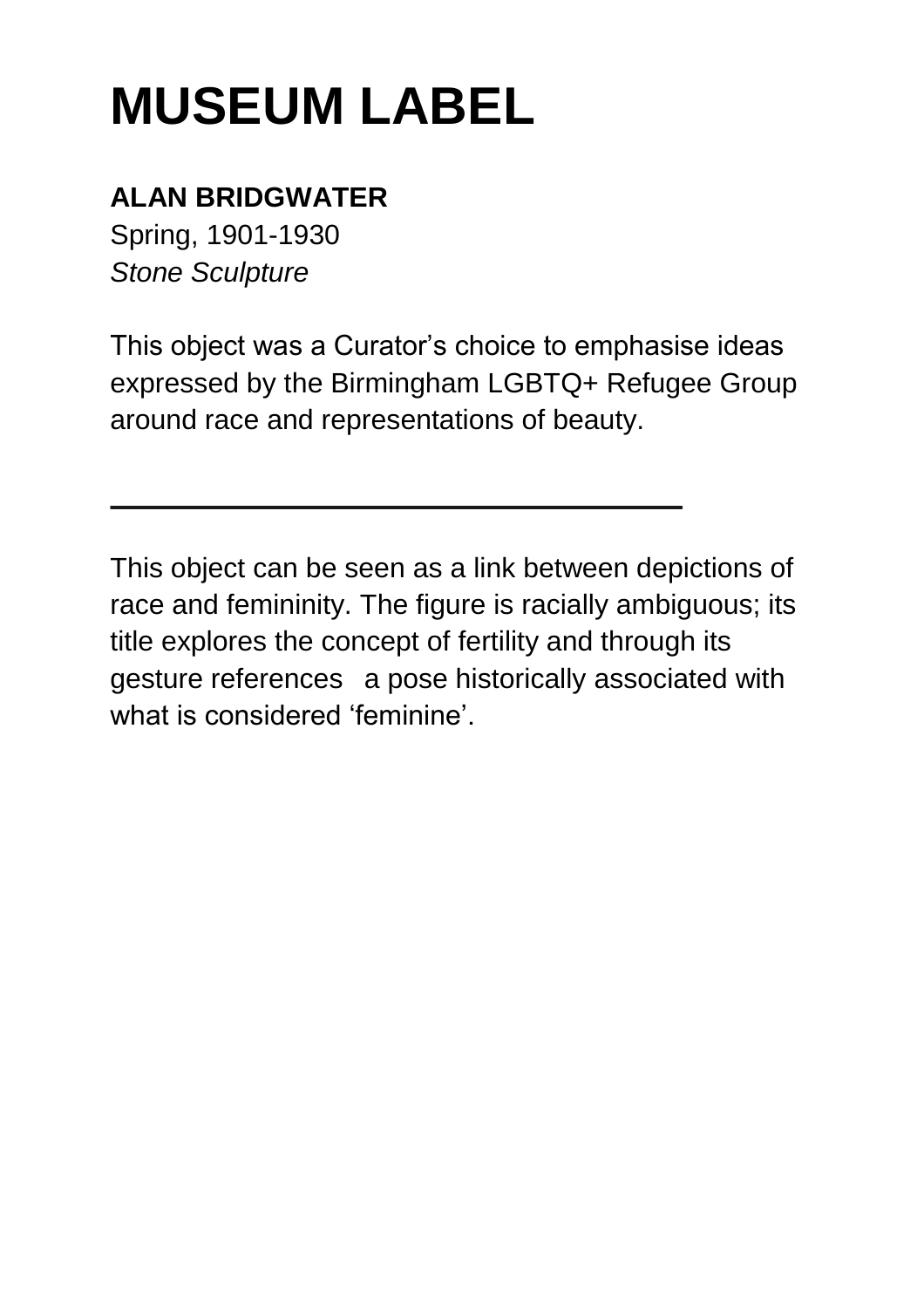### **ALAN BRIDGWATER**

Spring, 1901-1930 *Stone Sculpture* 

This object was a Curator's choice to emphasise ideas expressed by the Birmingham LGBTQ+ Refugee Group around race and representations of beauty.

This object can be seen as a link between depictions of race and femininity. The figure is racially ambiguous; its title explores the concept of fertility and through its gesture references a pose historically associated with what is considered 'feminine'.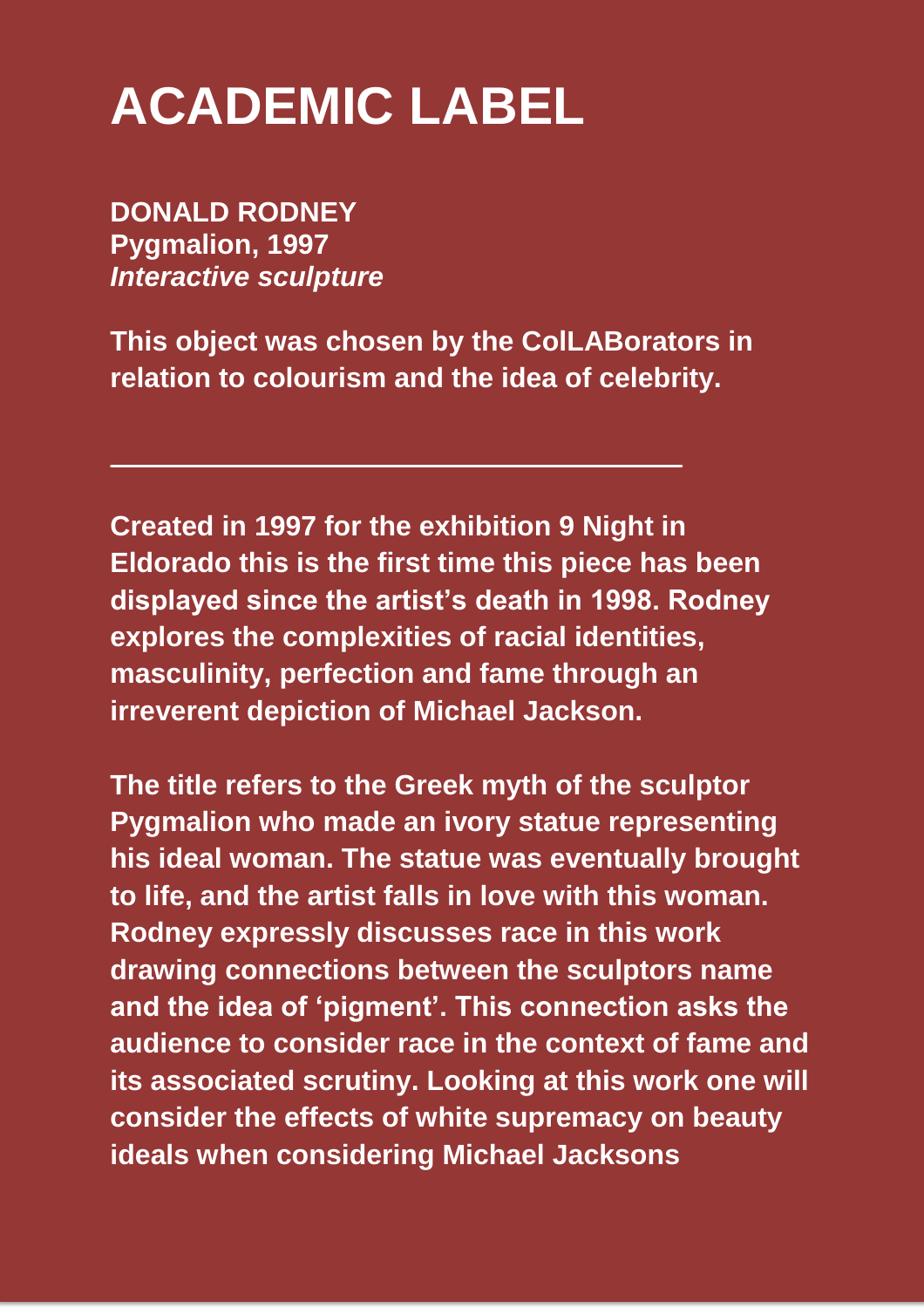## **ACADEMIC LABEL**

**DONALD RODNEY Pygmalion, 1997**  *Interactive sculpture* 

**This object was chosen by the ColLABorators in relation to colourism and the idea of celebrity.** 

**Created in 1997 for the exhibition 9 Night in Eldorado this is the first time this piece has been displayed since the artist's death in 1998. Rodney explores the complexities of racial identities, masculinity, perfection and fame through an irreverent depiction of Michael Jackson.** 

**The title refers to the Greek myth of the sculptor Pygmalion who made an ivory statue representing his ideal woman. The statue was eventually brought to life, and the artist falls in love with this woman. Rodney expressly discusses race in this work drawing connections between the sculptors name and the idea of 'pigment'. This connection asks the audience to consider race in the context of fame and its associated scrutiny. Looking at this work one will consider the effects of white supremacy on beauty ideals when considering Michael Jacksons**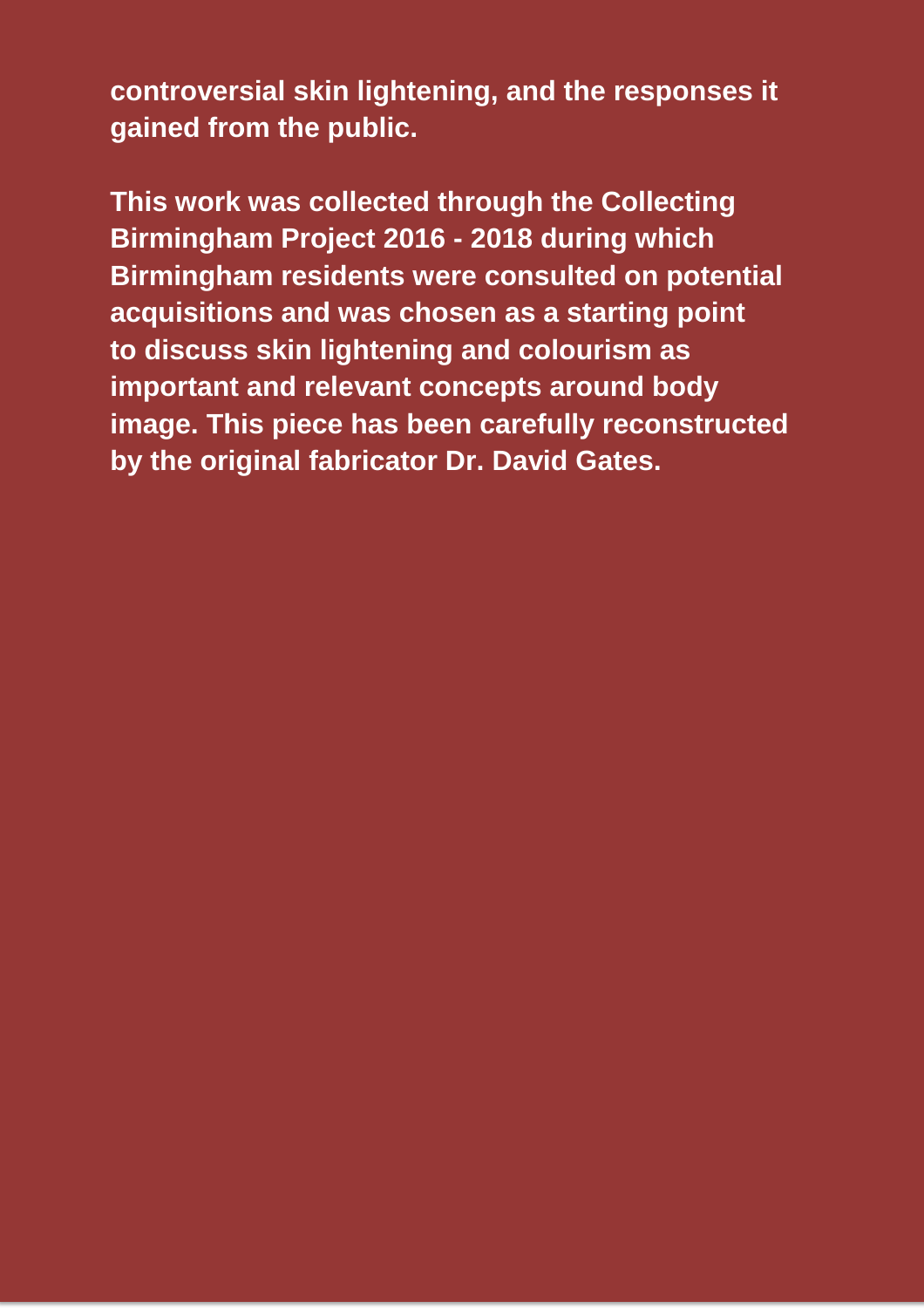**controversial skin lightening, and the responses it gained from the public.** 

**This work was collected through the Collecting Birmingham Project 2016 - 2018 during which Birmingham residents were consulted on potential acquisitions and was chosen as a starting point to discuss skin lightening and colourism as important and relevant concepts around body image. This piece has been carefully reconstructed by the original fabricator Dr. David Gates.**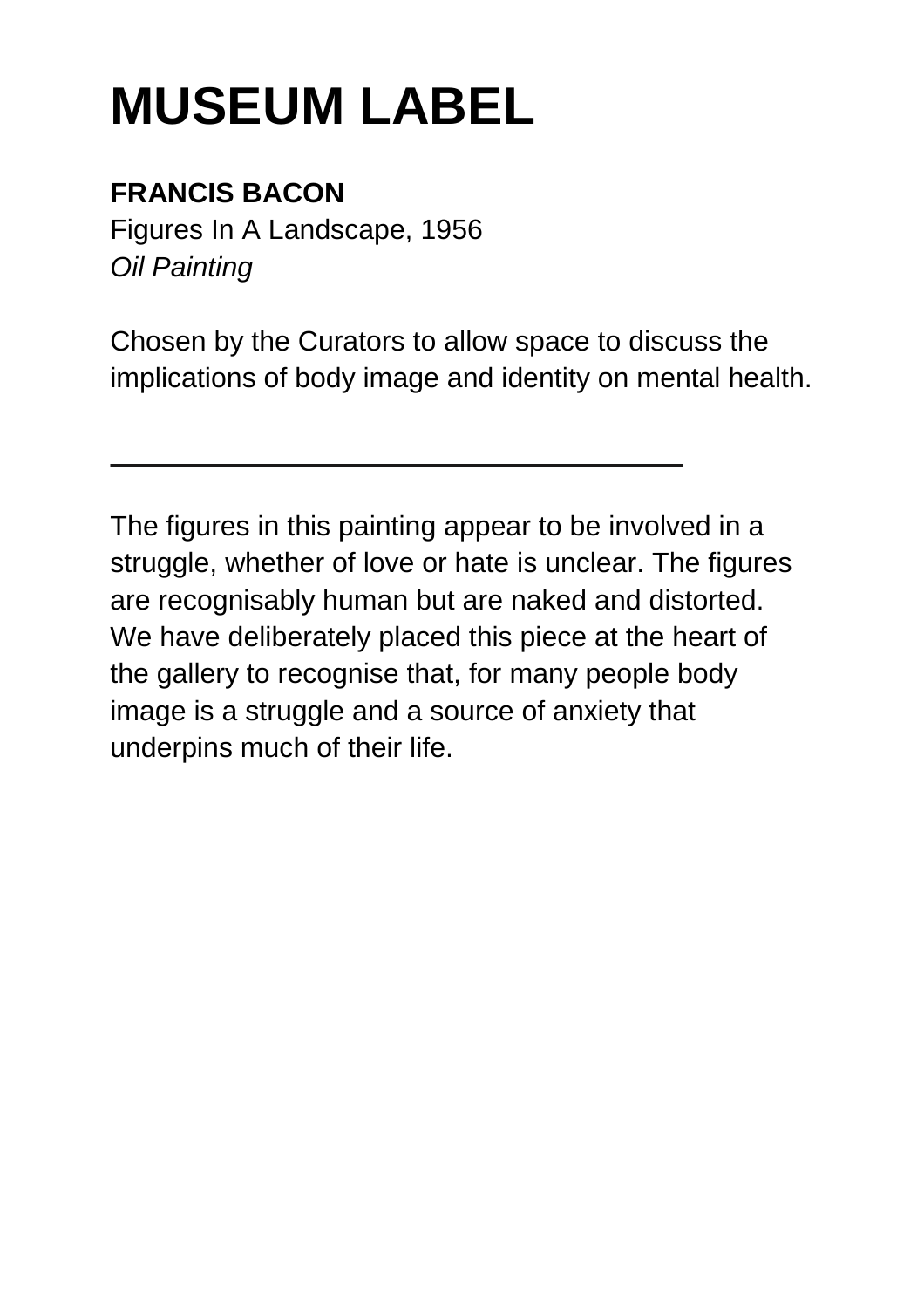## **FRANCIS BACON**

Figures In A Landscape, 1956 *Oil Painting* 

Chosen by the Curators to allow space to discuss the implications of body image and identity on mental health.

The figures in this painting appear to be involved in a struggle, whether of love or hate is unclear. The figures are recognisably human but are naked and distorted. We have deliberately placed this piece at the heart of the gallery to recognise that, for many people body image is a struggle and a source of anxiety that underpins much of their life.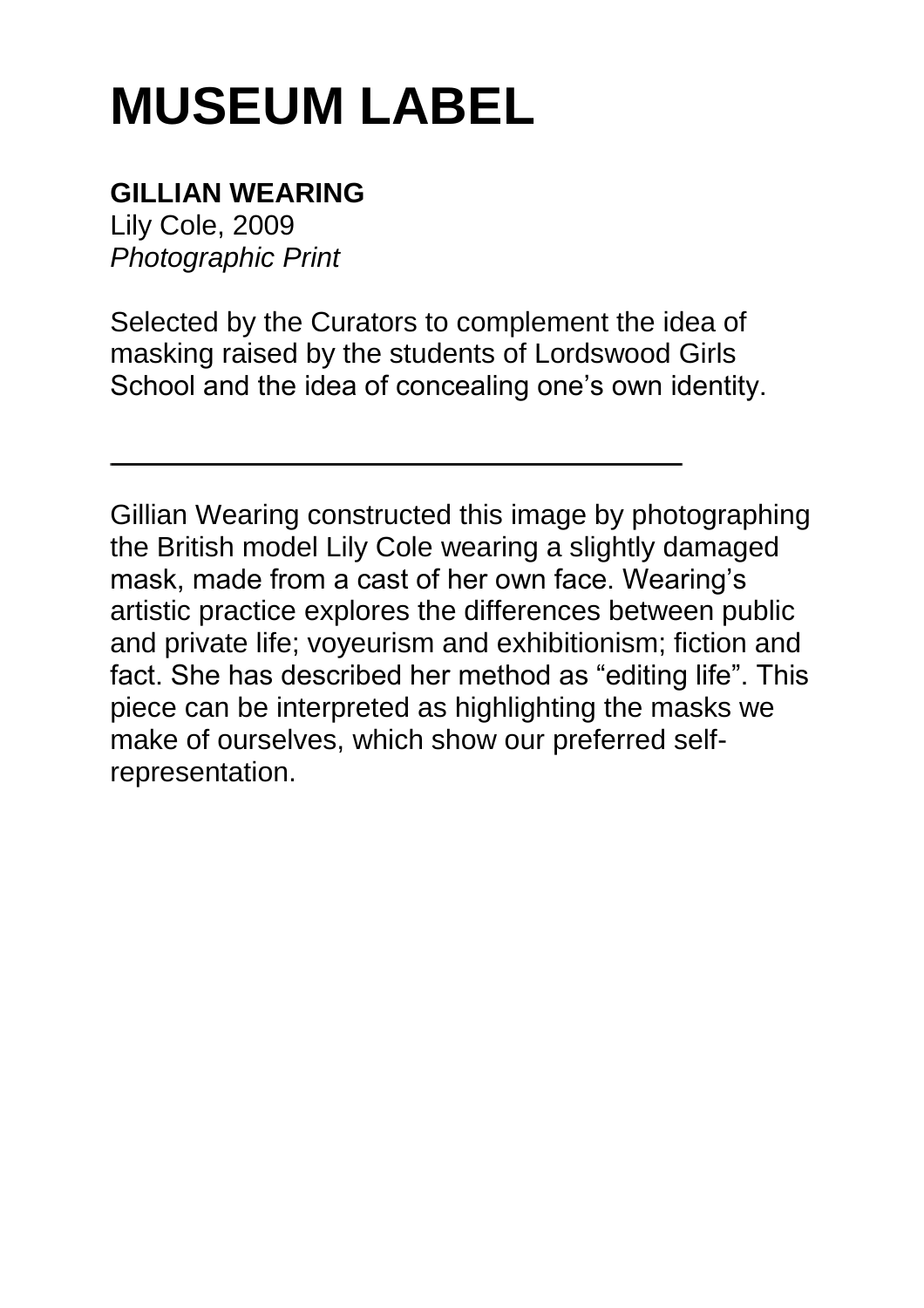#### **GILLIAN WEARING**

Lily Cole, 2009 *Photographic Print* 

Selected by the Curators to complement the idea of masking raised by the students of Lordswood Girls School and the idea of concealing one's own identity.

Gillian Wearing constructed this image by photographing the British model Lily Cole wearing a slightly damaged mask, made from a cast of her own face. Wearing's artistic practice explores the differences between public and private life; voyeurism and exhibitionism; fiction and fact. She has described her method as "editing life". This piece can be interpreted as highlighting the masks we make of ourselves, which show our preferred selfrepresentation.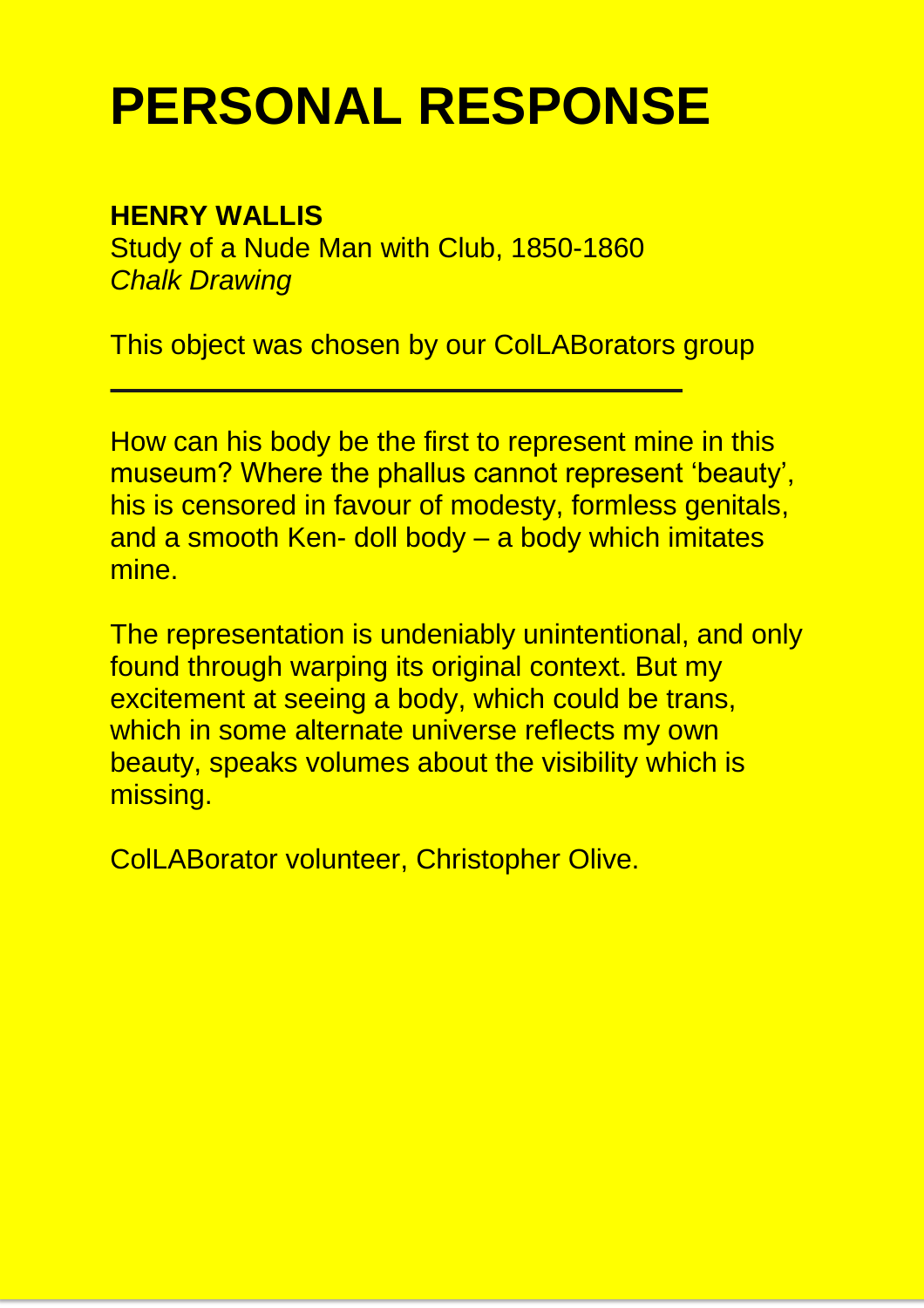## **PERSONAL RESPONSE**

#### **HENRY WALLIS**

Study of a Nude Man with Club, 1850-1860 *Chalk Drawing*

This object was chosen by our ColLABorators group

How can his body be the first to represent mine in this museum? Where the phallus cannot represent 'beauty', his is censored in favour of modesty, formless genitals, and a smooth Ken- doll body – a body which imitates mine.

The representation is undeniably unintentional, and only found through warping its original context. But my excitement at seeing a body, which could be trans, which in some alternate universe reflects my own beauty, speaks volumes about the visibility which is missing.

ColLABorator volunteer, Christopher Olive.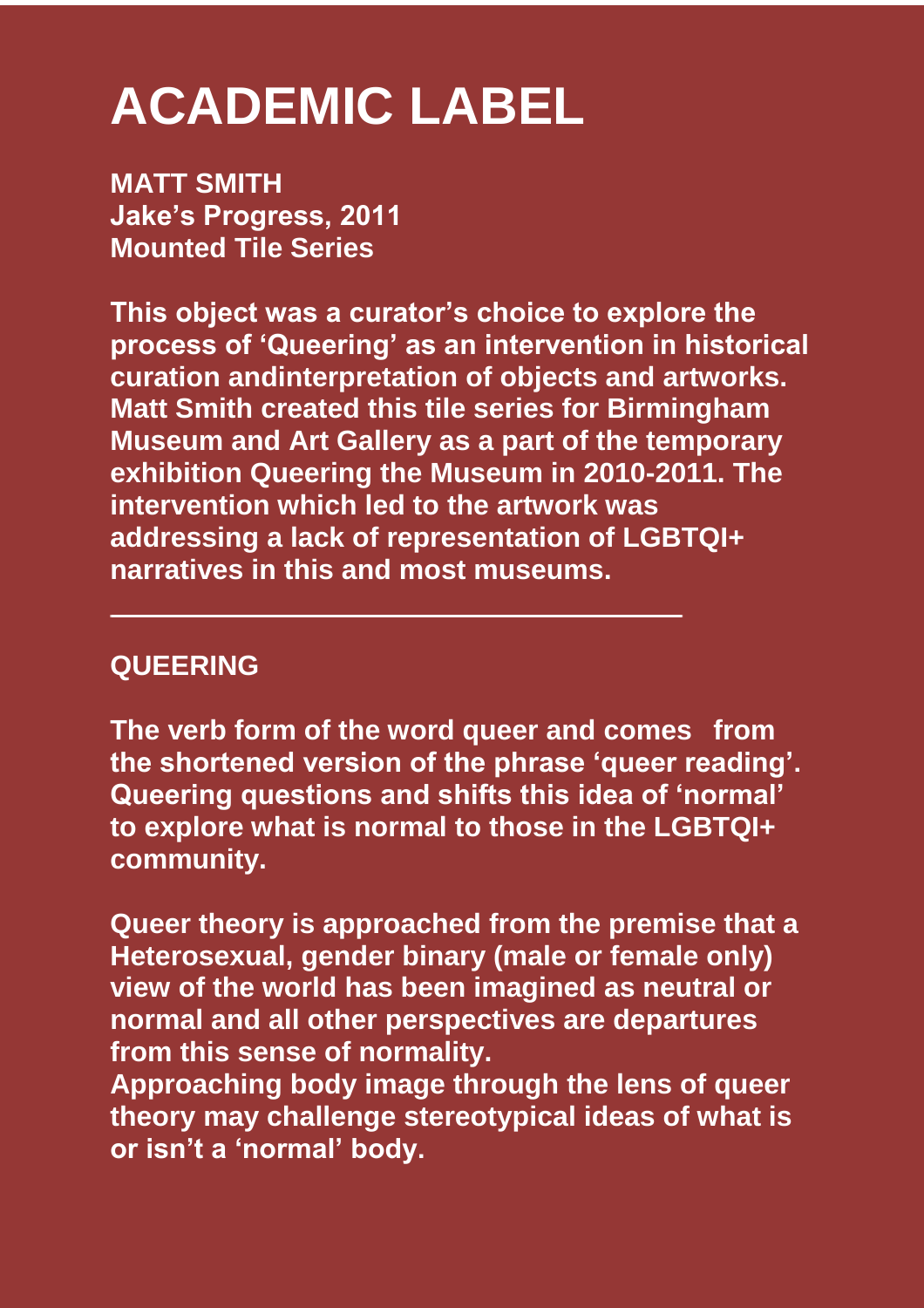## **ACADEMIC LABEL**

**MATT SMITH Jake's Progress, 2011 Mounted Tile Series** 

**This object was a curator's choice to explore the process of 'Queering' as an intervention in historical curation andinterpretation of objects and artworks. Matt Smith created this tile series for Birmingham Museum and Art Gallery as a part of the temporary exhibition Queering the Museum in 2010-2011. The intervention which led to the artwork was addressing a lack of representation of LGBTQI+ narratives in this and most museums.** 

#### **QUEERING**

**The verb form of the word queer and comes from the shortened version of the phrase 'queer reading'. Queering questions and shifts this idea of 'normal' to explore what is normal to those in the LGBTQI+ community.** 

**Queer theory is approached from the premise that a Heterosexual, gender binary (male or female only) view of the world has been imagined as neutral or normal and all other perspectives are departures from this sense of normality.** 

**Approaching body image through the lens of queer theory may challenge stereotypical ideas of what is or isn't a 'normal' body.**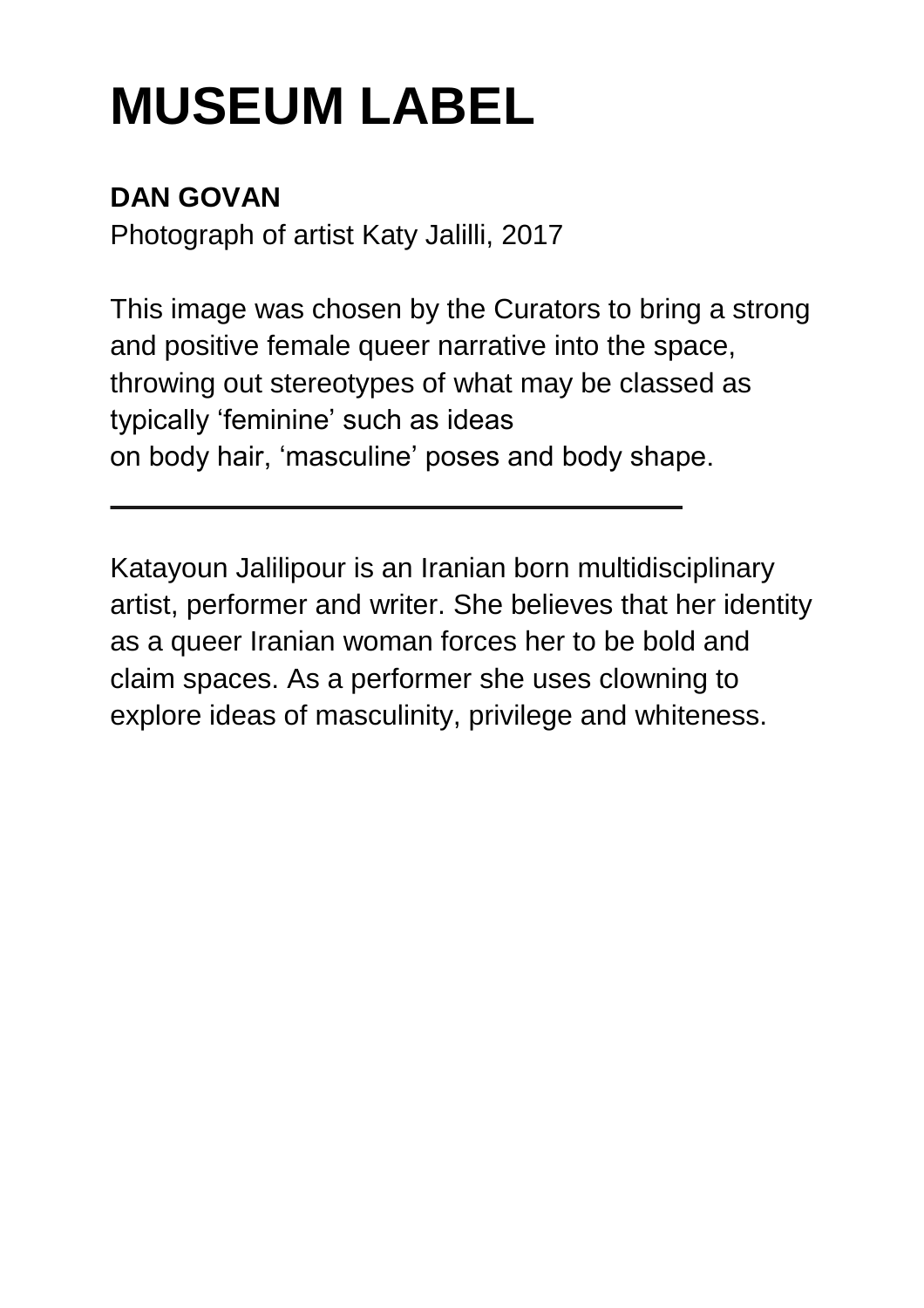## **DAN GOVAN**

Photograph of artist Katy Jalilli, 2017

This image was chosen by the Curators to bring a strong and positive female queer narrative into the space, throwing out stereotypes of what may be classed as typically 'feminine' such as ideas on body hair, 'masculine' poses and body shape.

Katayoun Jalilipour is an Iranian born multidisciplinary artist, performer and writer. She believes that her identity as a queer Iranian woman forces her to be bold and claim spaces. As a performer she uses clowning to explore ideas of masculinity, privilege and whiteness.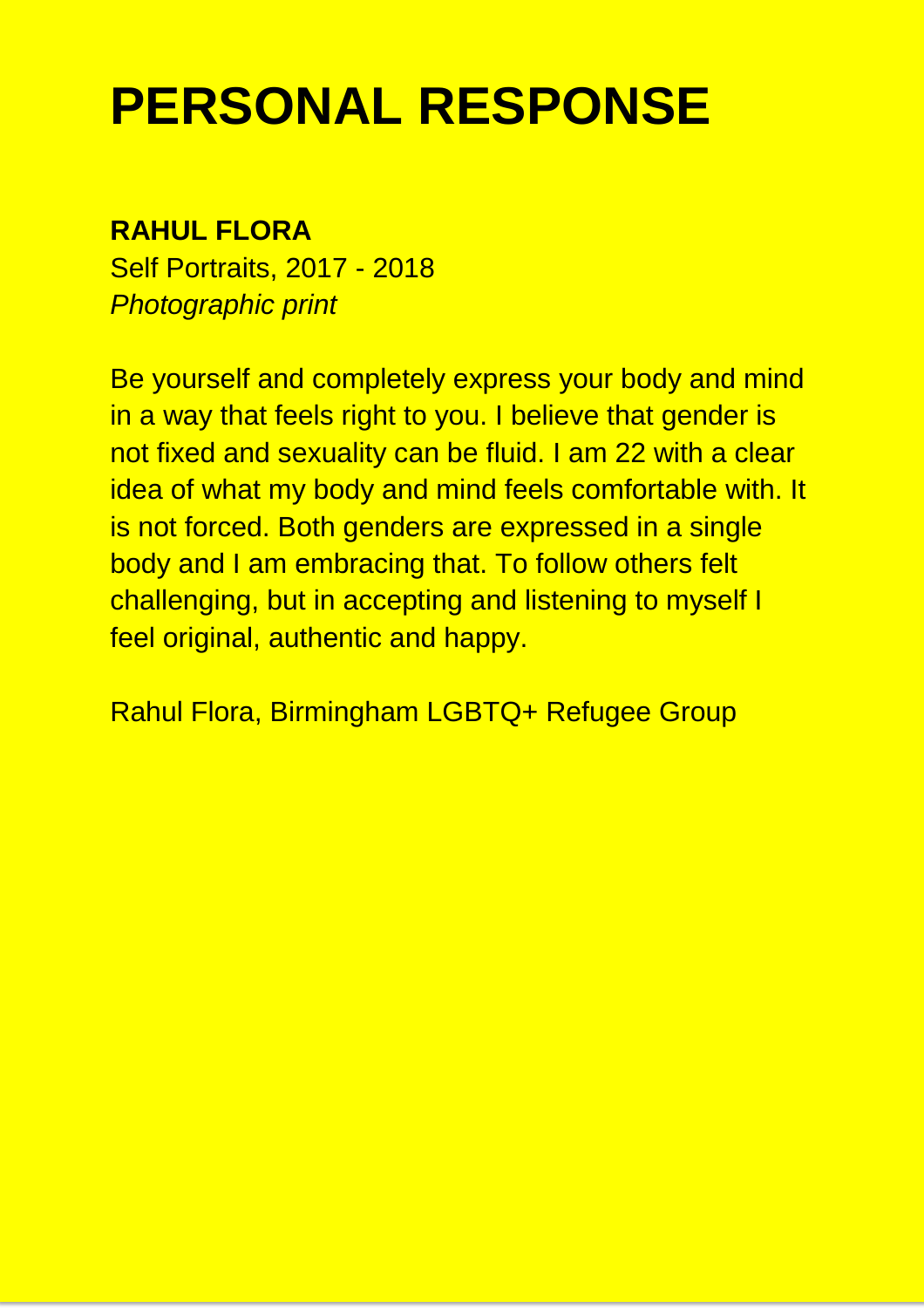## **PERSONAL RESPONSE**

#### **RAHUL FLORA**

Self Portraits, 2017 - 2018 *Photographic print* 

Be yourself and completely express your body and mind in a way that feels right to you. I believe that gender is not fixed and sexuality can be fluid. I am 22 with a clear idea of what my body and mind feels comfortable with. It is not forced. Both genders are expressed in a single body and I am embracing that. To follow others felt challenging, but in accepting and listening to myself I feel original, authentic and happy.

Rahul Flora, Birmingham LGBTQ+ Refugee Group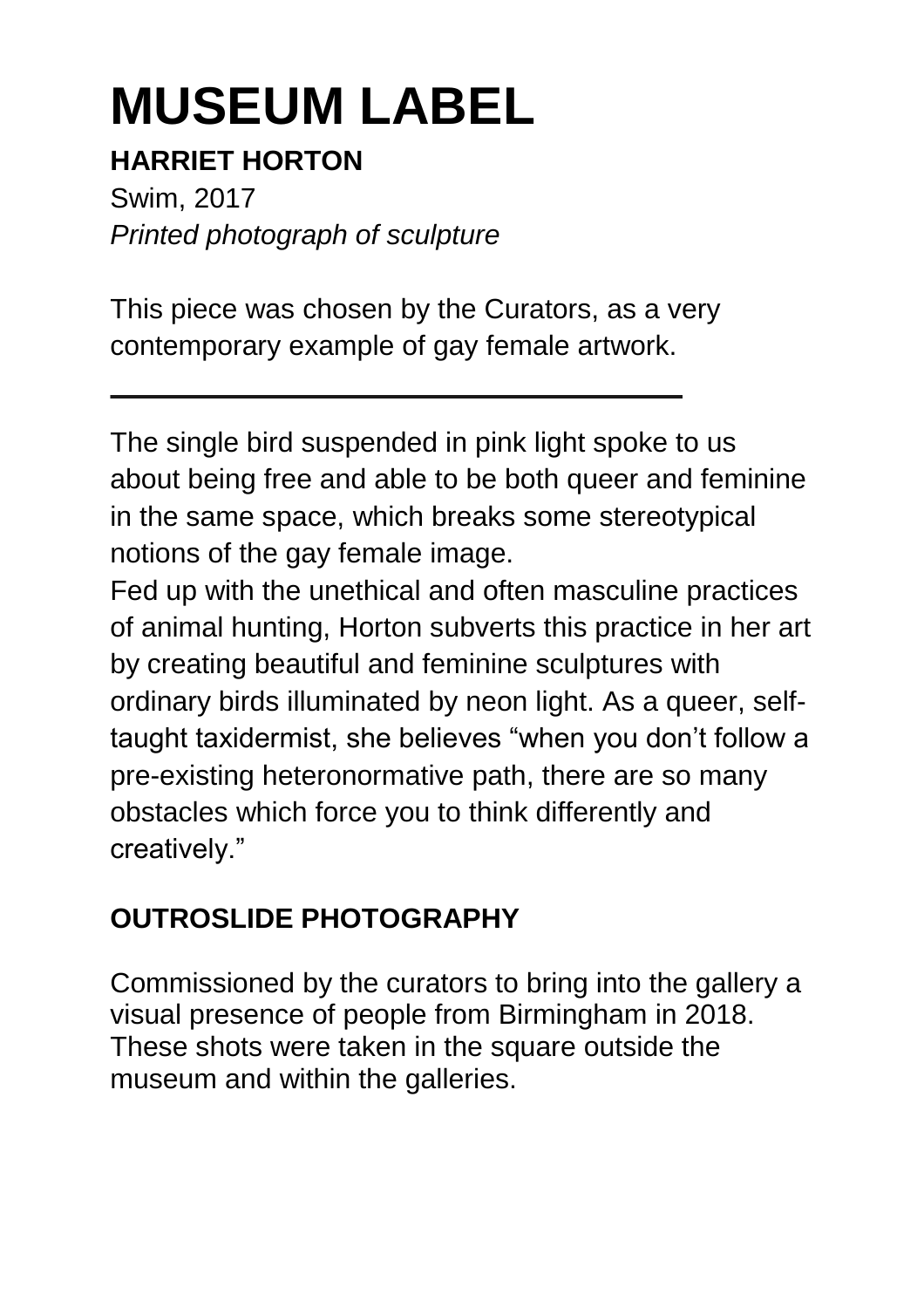## **HARRIET HORTON**

Swim, 2017 *Printed photograph of sculpture* 

This piece was chosen by the Curators, as a very contemporary example of gay female artwork.

The single bird suspended in pink light spoke to us about being free and able to be both queer and feminine in the same space, which breaks some stereotypical notions of the gay female image.

Fed up with the unethical and often masculine practices of animal hunting, Horton subverts this practice in her art by creating beautiful and feminine sculptures with ordinary birds illuminated by neon light. As a queer, selftaught taxidermist, she believes "when you don't follow a pre-existing heteronormative path, there are so many obstacles which force you to think differently and creatively."

## **OUTROSLIDE PHOTOGRAPHY**

Commissioned by the curators to bring into the gallery a visual presence of people from Birmingham in 2018. These shots were taken in the square outside the museum and within the galleries.